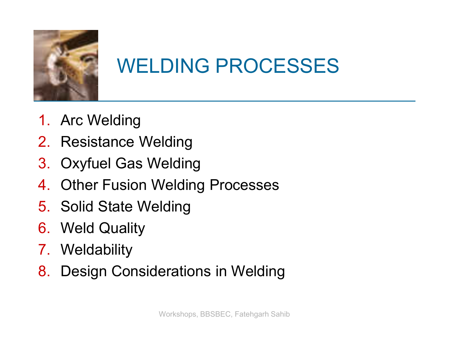

### WELDING PROCESSES

- 1. Arc Welding
- 2. Resistance Welding
- 3. Oxyfuel Gas Welding
- 4. Other Fusion Welding Processes
- 5. Solid State Welding
- 6. Weld Quality
- 7. Weldability
- 8. Design Considerations in Welding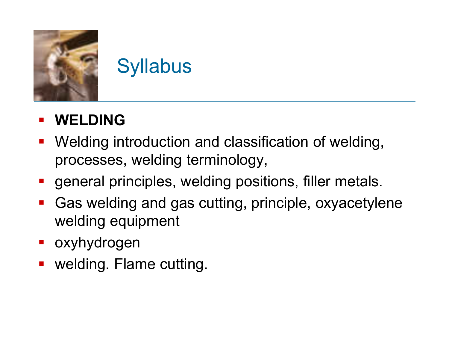

### **Syllabus**

#### **WELDING**

- **Welding introduction and classification of welding,** processes, welding terminology,
- **general principles, welding positions, filler metals.**
- Gas welding and gas cutting, principle, oxyacetylene welding equipment
- **•** oxyhydrogen
- welding. Flame cutting.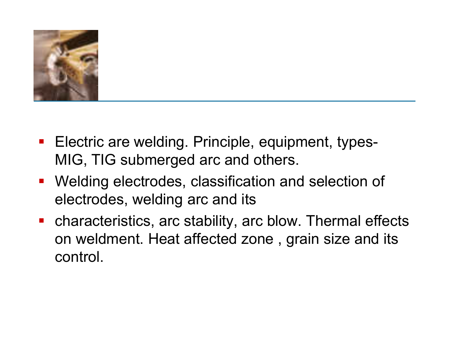

- **Electric are welding. Principle, equipment, types-**MIG, TIG submerged arc and others.
- Welding electrodes, classification and selection of electrodes, welding arc and its
- characteristics, arc stability, arc blow. Thermal effects on weldment. Heat affected zone , grain size and its control.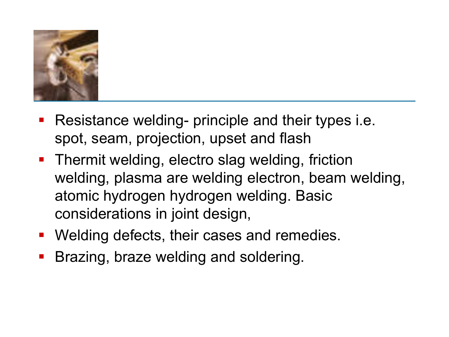

- **Resistance welding- principle and their types i.e.** spot, seam, projection, upset and flash
- **Thermit welding, electro slag welding, friction** welding, plasma are welding electron, beam welding, atomic hydrogen hydrogen welding. Basic considerations in joint design,
- **Welding defects, their cases and remedies.**
- Brazing, braze welding and soldering.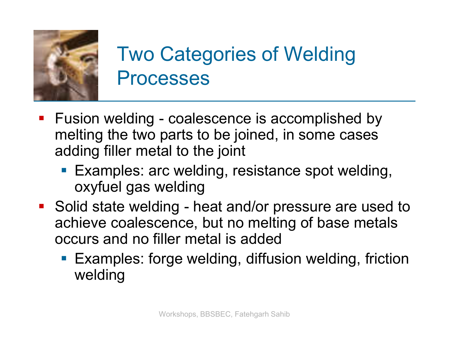

### Two Categories of Welding Processes

- **F** Fusion welding coalescence is accomplished by melting the two parts to be joined, in some cases adding filler metal to the joint
	- Examples: arc welding, resistance spot welding, oxyfuel gas welding
- Solid state welding heat and/or pressure are used to achieve coalescence, but no melting of base metals occurs and no filler metal is added
	- **Examples: forge welding, diffusion welding, friction** welding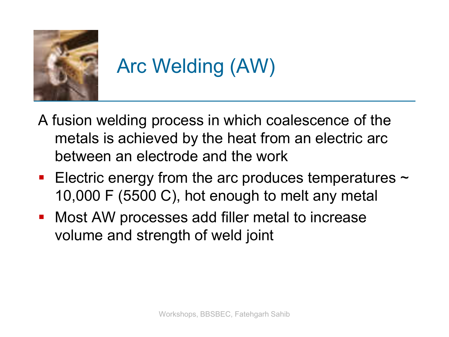

# Arc Welding (AW)

- A fusion welding process in which coalescence of the metals is achieved by the heat from an electric arc between an electrode and the work
- **Electric energy from the arc produces temperatures**  $\sim$ 10,000 F (5500 C), hot enough to melt any metal
- Most AW processes add filler metal to increase volume and strength of weld joint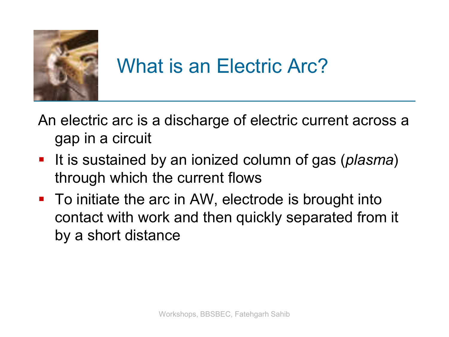

#### What is an Electric Arc?

An electric arc is a discharge of electric current across a gap in a circuit

- It is sustained by an ionized column of gas (*plasma*) through which the current flows
- To initiate the arc in AW, electrode is brought into contact with work and then quickly separated from it by a short distance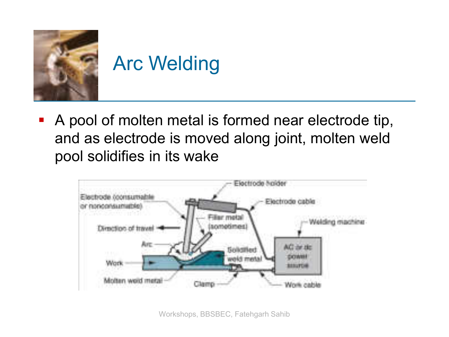

 A pool of molten metal is formed near electrode tip, and as electrode is moved along joint, molten weld pool solidifies in its wake



Workshops, BBSBEC, Fatehgarh Sahib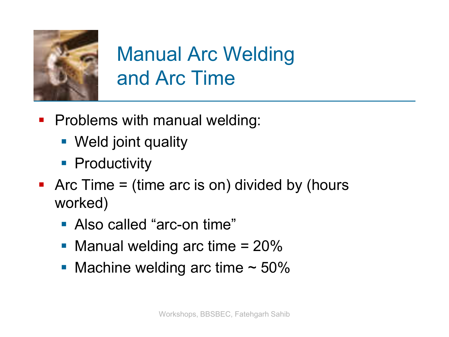

### Manual Arc Welding and Arc Time

- **Problems with manual welding:** 
	- **Weld joint quality**
	- **Productivity**
- Arc Time  $=$  (time arc is on) divided by (hours worked)
	- Also called "arc-on time"
	- Manual welding arc time  $= 20\%$
	- Machine welding arc time  $\sim$  50%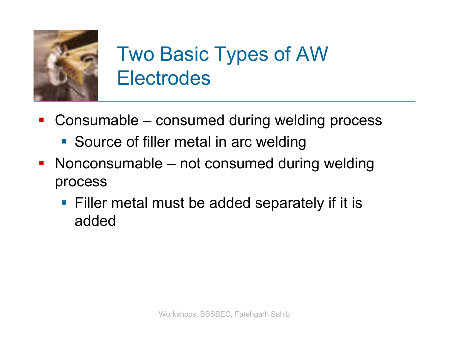

### Two Basic Types of AW Electrodes

- Consumable consumed during welding process
	- **Source of filler metal in arc welding**
- **Nonconsumable not consumed during welding** process
	- **Filler metal must be added separately if it is** added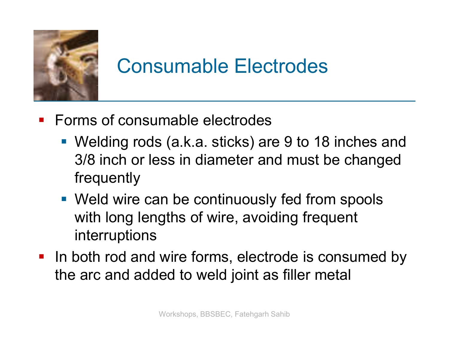

#### Consumable Electrodes

- **Forms of consumable electrodes** 
	- Welding rods (a.k.a. sticks) are 9 to 18 inches and 3/8 inch or less in diameter and must be changed frequently
	- Weld wire can be continuously fed from spools with long lengths of wire, avoiding frequent interruptions
- In both rod and wire forms, electrode is consumed by the arc and added to weld joint as filler metal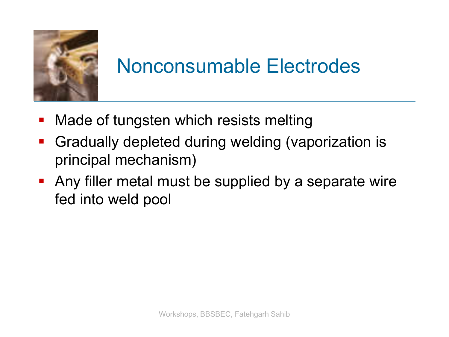

#### Nonconsumable Electrodes

- Made of tungsten which resists melting
- **Gradually depleted during welding (vaporization is** principal mechanism)
- Any filler metal must be supplied by a separate wire fed into weld pool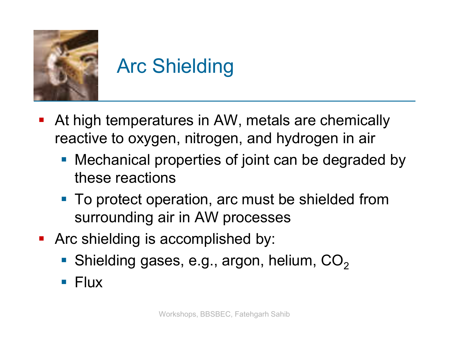

# Arc Shielding

- At high temperatures in AW, metals are chemically reactive to oxygen, nitrogen, and hydrogen in air
	- **Mechanical properties of joint can be degraded by** these reactions
	- To protect operation, arc must be shielded from surrounding air in AW processes
- **Arc shielding is accomplished by:** 
	- Shielding gases, e.g., argon, helium,  $CO<sub>2</sub>$
	- $\blacksquare$  Flux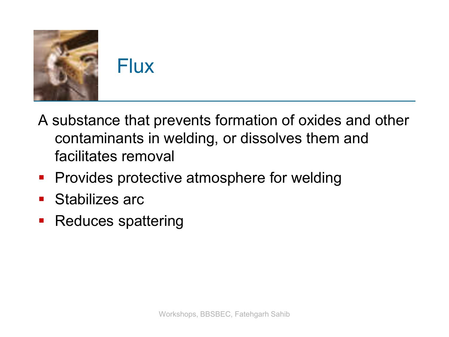

- A substance that prevents formation of oxides and other contaminants in welding, or dissolves them and facilitates removal
- **Provides protective atmosphere for welding**
- **Stabilizes arc**
- **Reduces spattering**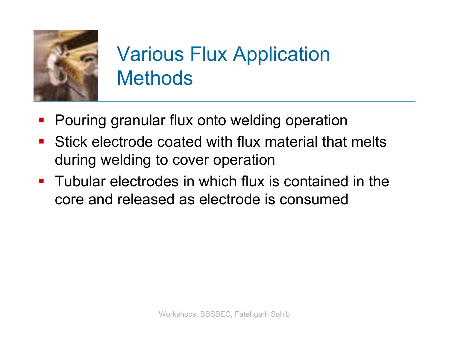

### Various Flux Application **Methods**

- Pouring granular flux onto welding operation
- **Stick electrode coated with flux material that melts** during welding to cover operation
- **Tubular electrodes in which flux is contained in the** core and released as electrode is consumed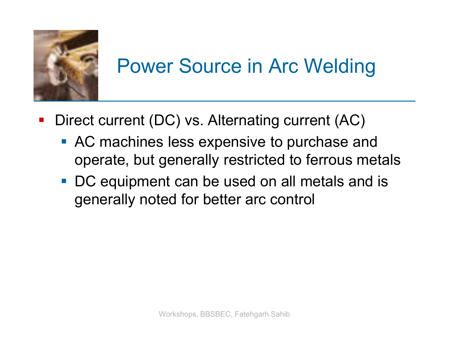

### Power Source in Arc Welding

- Direct current (DC) vs. Alternating current (AC)
	- **AC** machines less expensive to purchase and operate, but generally restricted to ferrous metals
	- DC equipment can be used on all metals and is generally noted for better arc control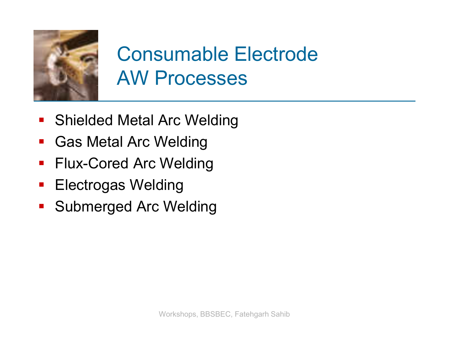

### Consumable Electrode AW Processes

- **Shielded Metal Arc Welding**
- Gas Metal Arc Welding
- **Flux-Cored Arc Welding**
- **Electrogas Welding**
- **Submerged Arc Welding**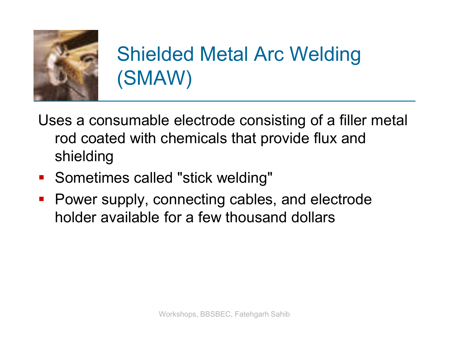

### Shielded Metal Arc Welding (SMAW)

- Uses a consumable electrode consisting of a filler metal rod coated with chemicals that provide flux and shielding
- **Sometimes called "stick welding"**
- **Power supply, connecting cables, and electrode** holder available for a few thousand dollars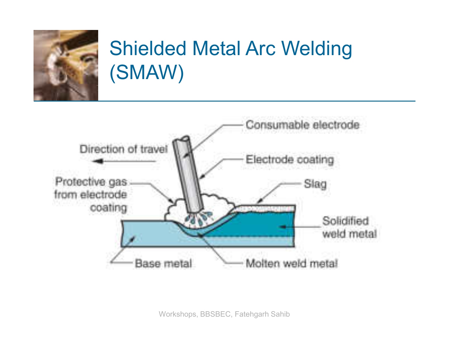

### Shielded Metal Arc Welding (SMAW)

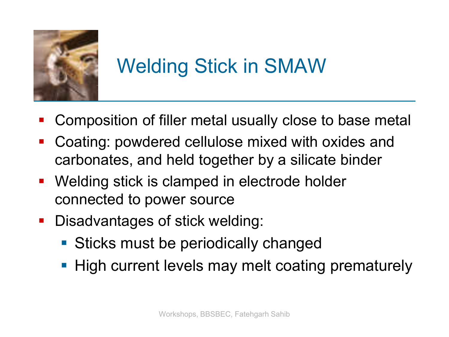

# Welding Stick in SMAW

- Composition of filler metal usually close to base metal
- Coating: powdered cellulose mixed with oxides and carbonates, and held together by a silicate binder
- **Welding stick is clamped in electrode holder** connected to power source
- **Disadvantages of stick welding:** 
	- **Sticks must be periodically changed**
	- **High current levels may melt coating prematurely**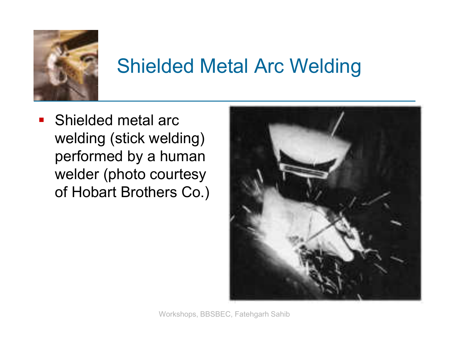

#### Shielded Metal Arc Welding

**Shielded metal arc** welding (stick welding) performed by a human welder (photo courtesy of Hobart Brothers Co.)



Workshops, BBSBEC, Fatehgarh Sahib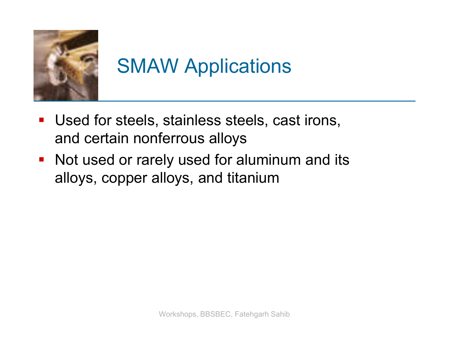

# SMAW Applications

- Used for steels, stainless steels, cast irons, and certain nonferrous alloys
- Not used or rarely used for aluminum and its alloys, copper alloys, and titanium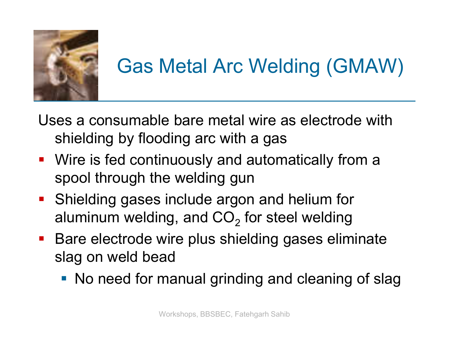

# Gas Metal Arc Welding (GMAW)

- Uses a consumable bare metal wire as electrode with shielding by flooding arc with a gas
- Wire is fed continuously and automatically from a spool through the welding gun
- **Shielding gases include argon and helium for** aluminum welding, and CO<sub>2</sub> for steel welding
- **Bare electrode wire plus shielding gases eliminate** slag on weld bead
	- No need for manual grinding and cleaning of slag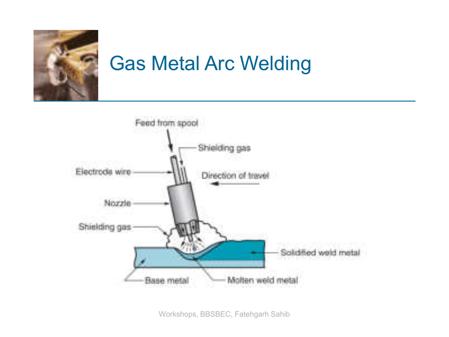

## Gas Metal Arc Welding



Workshops, BBSBEC, Fatehgarh Sahib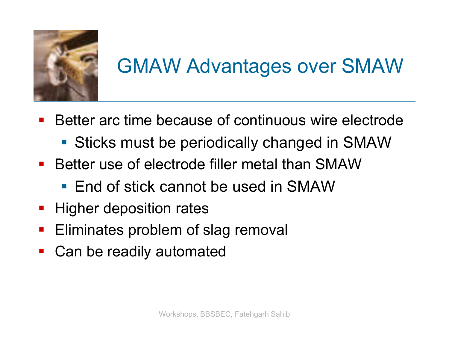

# GMAW Advantages over SMAW

- Better arc time because of continuous wire electrode
	- **Sticks must be periodically changed in SMAW**
- Better use of electrode filler metal than SMAW
	- **End of stick cannot be used in SMAW**
- **Higher deposition rates**
- **Eliminates problem of slag removal**
- Can be readily automated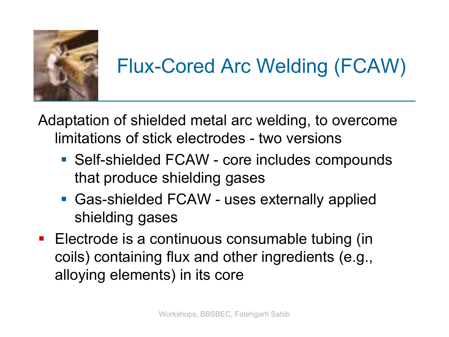

# Flux-Cored Arc Welding (FCAW)

Adaptation of shielded metal arc welding, to overcome limitations of stick electrodes - two versions

- Self-shielded FCAW core includes compounds that produce shielding gases
- Gas-shielded FCAW uses externally applied shielding gases
- **Electrode is a continuous consumable tubing (in** coils) containing flux and other ingredients (e.g., alloying elements) in its core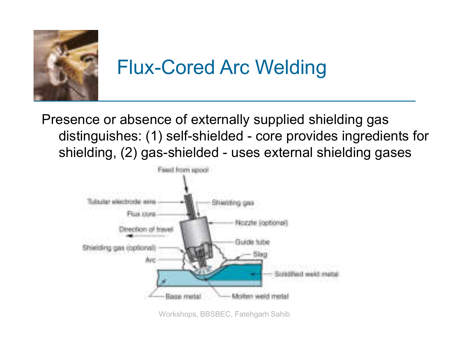

### Flux-Cored Arc Welding

Presence or absence of externally supplied shielding gas distinguishes: (1) self-shielded - core provides ingredients for shielding, (2) gas-shielded - uses external shielding gases



Workshops, BBSBEC, Fatehgarh Sahib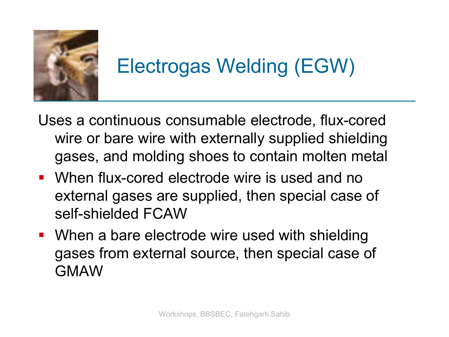

# Electrogas Welding (EGW)

- Uses a continuous consumable electrode, flux-cored wire or bare wire with externally supplied shielding gases, and molding shoes to contain molten metal
- When flux-cored electrode wire is used and no external gases are supplied, then special case of self-shielded FCAW
- **When a bare electrode wire used with shielding** gases from external source, then special case of GMAW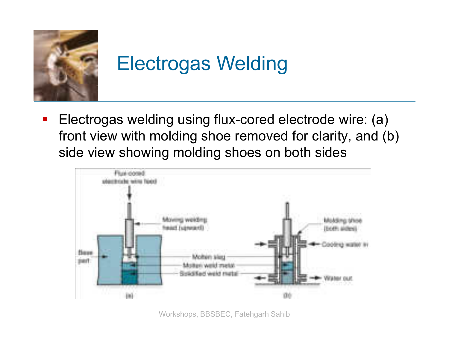

# Electrogas Welding

**Electrogas welding using flux-cored electrode wire: (a)** front view with molding shoe removed for clarity, and (b) side view showing molding shoes on both sides



Workshops, BBSBEC, Fatehgarh Sahib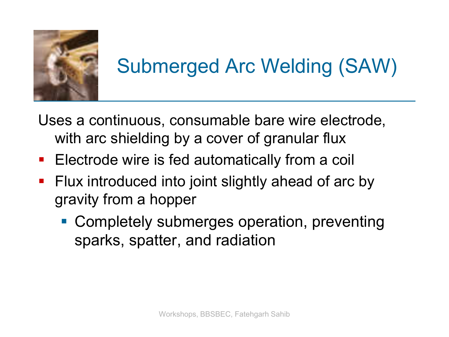

# Submerged Arc Welding (SAW)

Uses a continuous, consumable bare wire electrode, with arc shielding by a cover of granular flux

- **Electrode wire is fed automatically from a coil**
- **Filux introduced into joint slightly ahead of arc by** gravity from a hopper
	- Completely submerges operation, preventing sparks, spatter, and radiation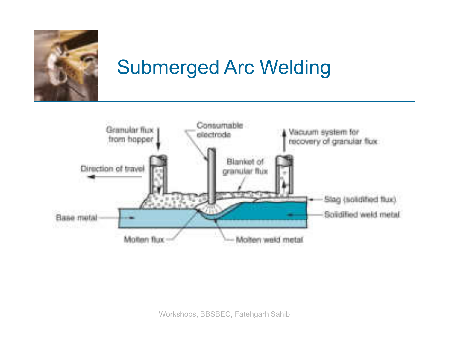

### Submerged Arc Welding

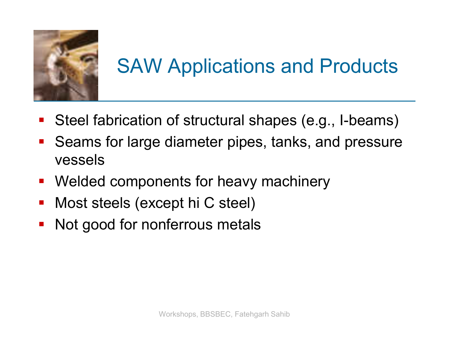

# SAW Applications and Products

- Steel fabrication of structural shapes (e.g., I-beams)
- Seams for large diameter pipes, tanks, and pressure vessels
- **Welded components for heavy machinery**
- Most steels (except hi C steel)
- Not good for nonferrous metals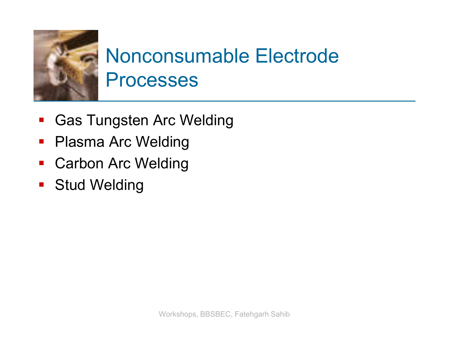

### Nonconsumable Electrode Processes

- **Gas Tungsten Arc Welding**
- Plasma Arc Welding
- **Carbon Arc Welding**
- **Stud Welding**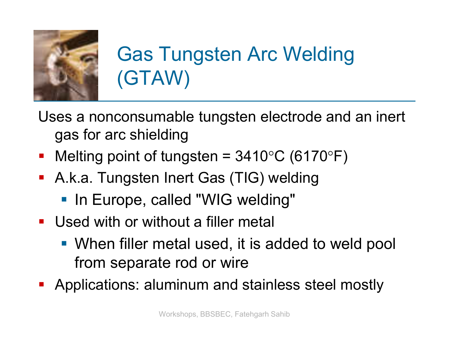

# Gas Tungsten Arc Welding (GTAW)

Uses a nonconsumable tungsten electrode and an inert gas for arc shielding

- Melting point of tungsten =  $3410^{\circ}$ C (6170 $^{\circ}$ F)
- A.k.a. Tungsten Inert Gas (TIG) welding
	- **In Europe, called "WIG welding"**
- Used with or without a filler metal
	- When filler metal used, it is added to weld pool from separate rod or wire
- Applications: aluminum and stainless steel mostly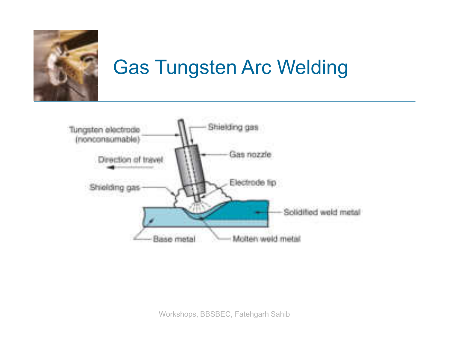

### Gas Tungsten Arc Welding

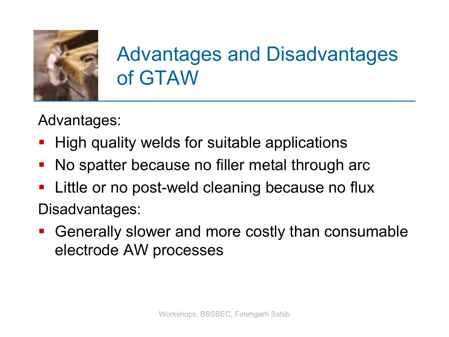

### Advantages and Disadvantages of GTAW

Advantages:

- **High quality welds for suitable applications**
- **No spatter because no filler metal through arce**
- **E** Little or no post-weld cleaning because no flux Disadvantages:
- Generally slower and more costly than consumable electrode AW processes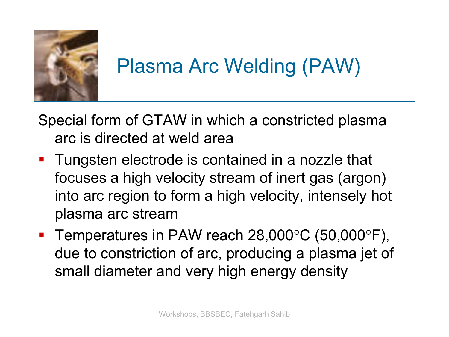

# Plasma Arc Welding (PAW)

Special form of GTAW in which a constricted plasma arc is directed at weld area

- **Tungsten electrode is contained in a nozzle that** focuses a high velocity stream of inert gas (argon) into arc region to form a high velocity, intensely hot plasma arc stream
- Temperatures in PAW reach  $28,000^{\circ}$ C (50,000 $^{\circ}$ F), due to constriction of arc, producing a plasma jet of small diameter and very high energy density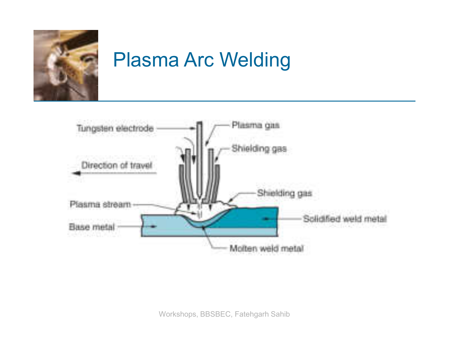

### Plasma Arc Welding

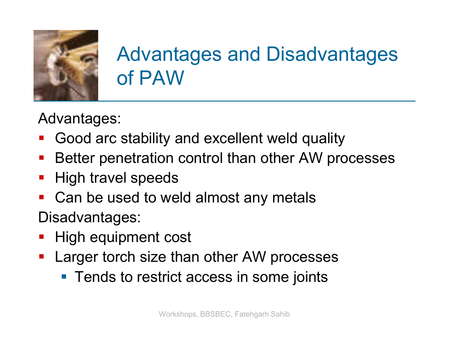

### Advantages and Disadvantages of PAW

Advantages:

- Good arc stability and excellent weld quality
- **Better penetration control than other AW processes**
- High travel speeds
- Can be used to weld almost any metals

Disadvantages:

- High equipment cost
- **Larger torch size than other AW processes** 
	- **Tends to restrict access in some joints**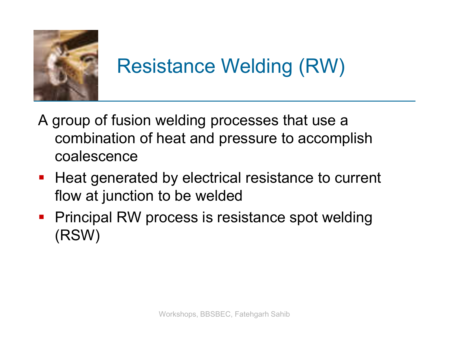

### Resistance Welding (RW)

- A group of fusion welding processes that use a combination of heat and pressure to accomplish coalescence
- **Heat generated by electrical resistance to current** flow at junction to be welded
- **Principal RW process is resistance spot welding** (RSW)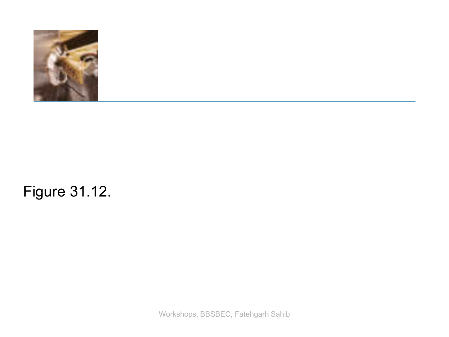

#### Figure 31.12.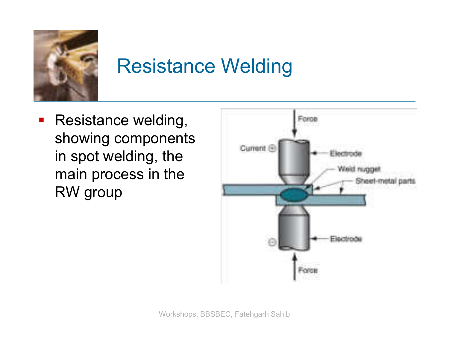

### Resistance Welding

**Resistance welding,** showing components in spot welding, the main process in the RW group

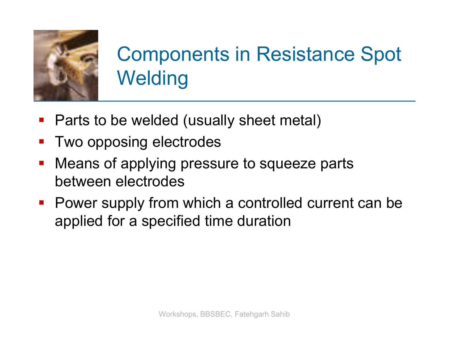

# Components in Resistance Spot **Welding**

- Parts to be welded (usually sheet metal)
- **Two opposing electrodes**
- **Neans of applying pressure to squeeze parts** between electrodes
- **Power supply from which a controlled current can be** applied for a specified time duration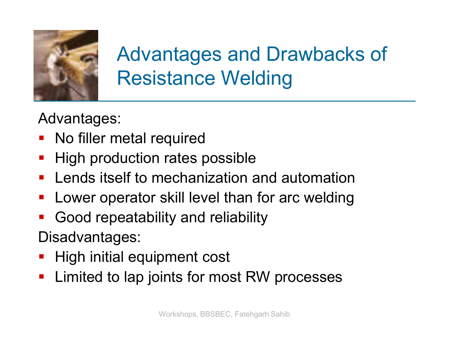

### Advantages and Drawbacks of Resistance Welding

Advantages:

- No filler metal required
- **High production rates possible**
- **Lends itself to mechanization and automation**
- Lower operator skill level than for arc welding
- Good repeatability and reliability

Disadvantages:

- High initial equipment cost
- **EXA** Limited to lap joints for most RW processes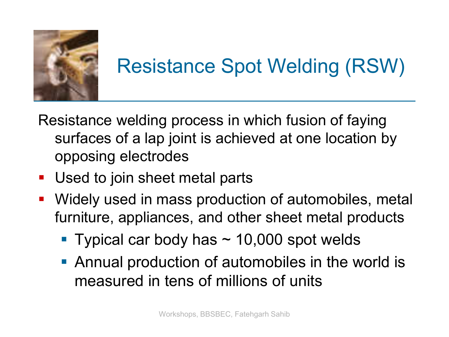

# Resistance Spot Welding (RSW)

Resistance welding process in which fusion of faying surfaces of a lap joint is achieved at one location by opposing electrodes

- Used to join sheet metal parts
- Widely used in mass production of automobiles, metal furniture, appliances, and other sheet metal products
	- Typical car body has  $\sim$  10,000 spot welds
	- **Annual production of automobiles in the world is** measured in tens of millions of units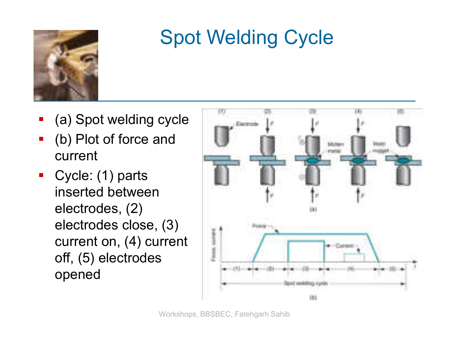

### Spot Welding Cycle

- (a) Spot welding cycle
- (b) Plot of force and current
- Cycle: (1) parts inserted between electrodes, (2) electrodes close, (3) current on, (4) current off, (5) electrodes opened

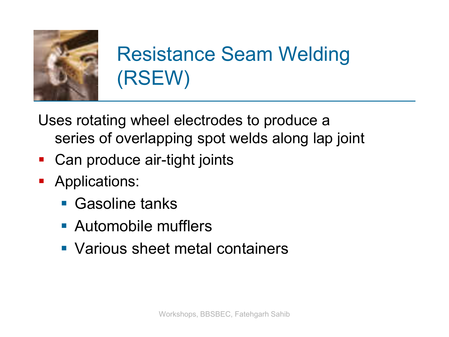

## Resistance Seam Welding (RSEW)

Uses rotating wheel electrodes to produce a series of overlapping spot welds along lap joint

- Can produce air-tight joints
- **Applications:** 
	- **Gasoline tanks**
	- **Automobile mufflers**
	- Various sheet metal containers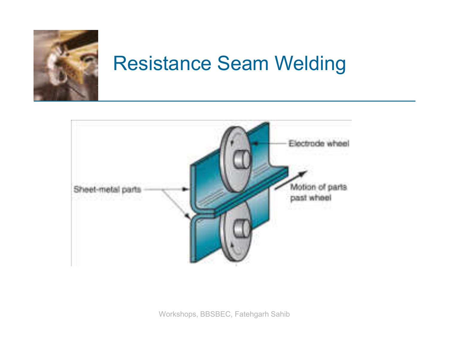

### Resistance Seam Welding

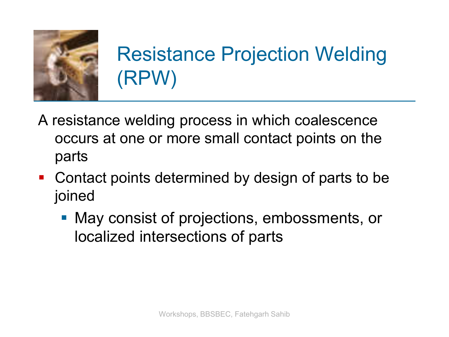

# Resistance Projection Welding (RPW)

- A resistance welding process in which coalescence occurs at one or more small contact points on the parts
- Contact points determined by design of parts to be joined
	- May consist of projections, embossments, or localized intersections of parts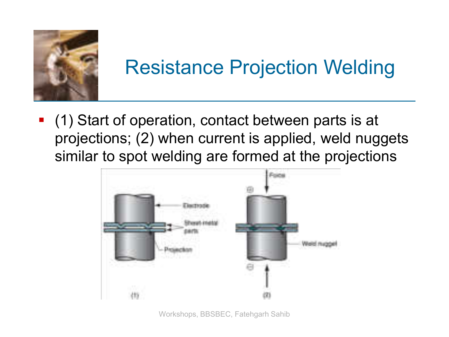

### Resistance Projection Welding

 (1) Start of operation, contact between parts is at projections; (2) when current is applied, weld nuggets similar to spot welding are formed at the projections

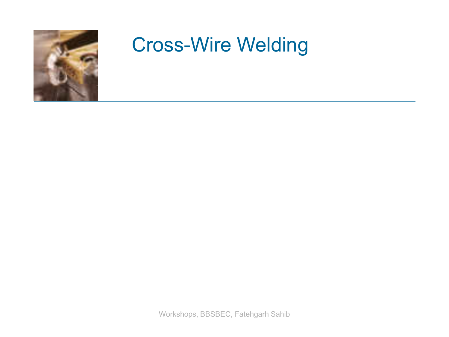

#### Cross-Wire Welding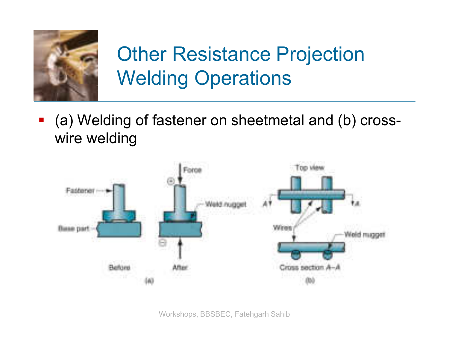

# Other Resistance Projection Welding Operations

 (a) Welding of fastener on sheetmetal and (b) crosswire welding

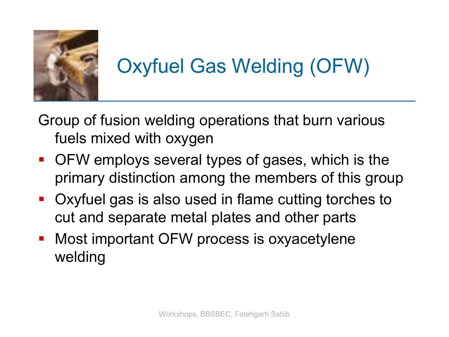

# Oxyfuel Gas Welding (OFW)

Group of fusion welding operations that burn various fuels mixed with oxygen

- OFW employs several types of gases, which is the primary distinction among the members of this group
- Oxyfuel gas is also used in flame cutting torches to cut and separate metal plates and other parts
- **Most important OFW process is oxyacetylene** welding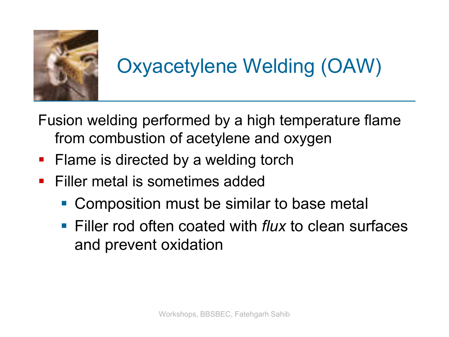

# Oxyacetylene Welding (OAW)

Fusion welding performed by a high temperature flame from combustion of acetylene and oxygen

- **Flame is directed by a welding torch**
- **Filler metal is sometimes added** 
	- Composition must be similar to base metal
	- Filler rod often coated with *flux* to clean surfaces and prevent oxidation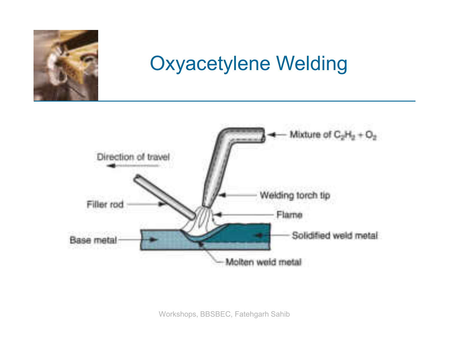

### Oxyacetylene Welding

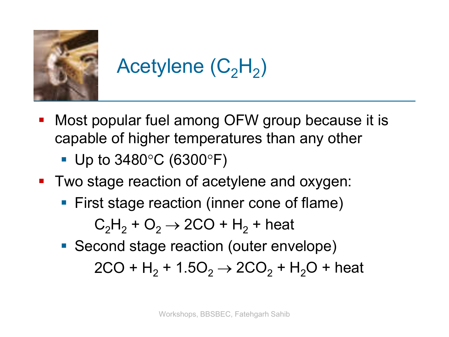

# Acetylene  $(\mathsf{C_2H_2})$

- **Most popular fuel among OFW group because it is** capable of higher temperatures than any other
	- Up to  $3480^{\circ}$ C (6300 $^{\circ}$ F)
- Two stage reaction of acetylene and oxygen:
	- **First stage reaction (inner cone of flame)**  $C_2H_2 + O_2 \rightarrow 2CO + H_2 +$  heat
	- **Second stage reaction (outer envelope)**  $2CO + H<sub>2</sub> + 1.5O<sub>2</sub> \rightarrow 2CO<sub>2</sub> + H<sub>2</sub>O + heat$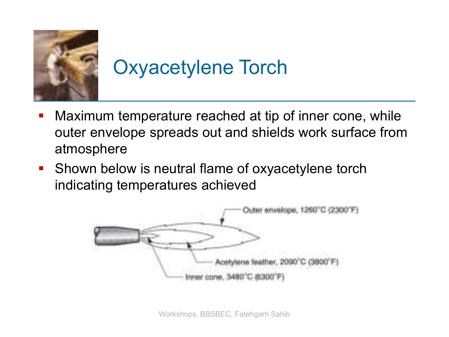

# Oxyacetylene Torch

- **Maximum temperature reached at tip of inner cone, while** outer envelope spreads out and shields work surface from atmosphere
- **Shown below is neutral flame of oxyacetylene torch** indicating temperatures achieved

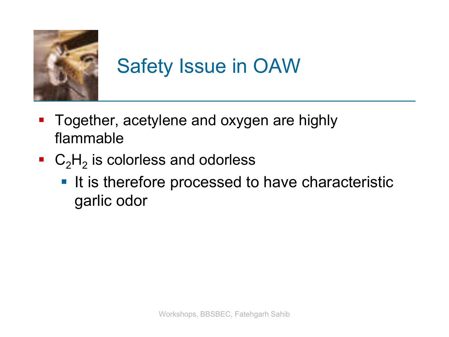

# Safety Issue in OAW

- **Together, acetylene and oxygen are highly** flammable
- $\blacksquare$  C<sub>2</sub>H<sub>2</sub> is colorless and odorless
	- It is therefore processed to have characteristic garlic odor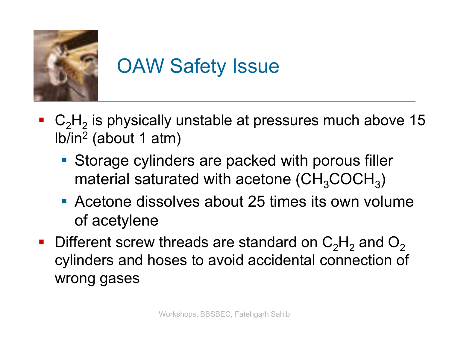

# OAW Safety Issue

- $\blacksquare$  C<sub>2</sub>H<sub>2</sub> is physically unstable at pressures much above 15 lb/in<sup>2</sup> (about 1 atm)
	- Storage cylinders are packed with porous filler material saturated with acetone (CH $_{3}$ COCH $_{3})$
	- Acetone dissolves about 25 times its own volume of acetylene
- **Different screw threads are standard on C<sub>2</sub>H<sub>2</sub> and O<sub>2</sub>** cylinders and hoses to avoid accidental connection of wrong gases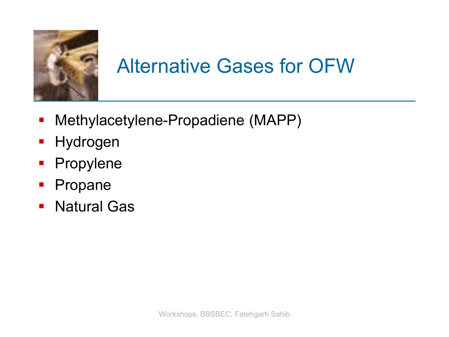

### Alternative Gases for OFW

- Methylacetylene-Propadiene (MAPP)
- **Hydrogen**
- **Propylene**
- **Propane**
- **Natural Gas**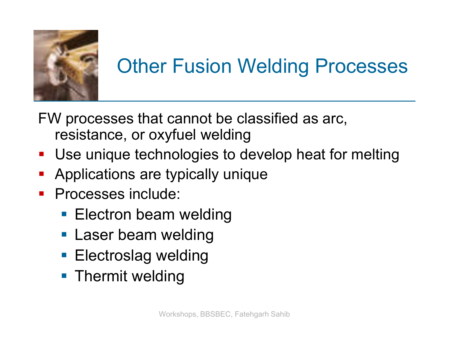

# Other Fusion Welding Processes

FW processes that cannot be classified as arc, resistance, or oxyfuel welding

- Use unique technologies to develop heat for melting
- **-** Applications are typically unique
- **Processes include:** 
	- **Electron beam welding**
	- **Laser beam welding**
	- **Electroslag welding**
	- **Thermit welding**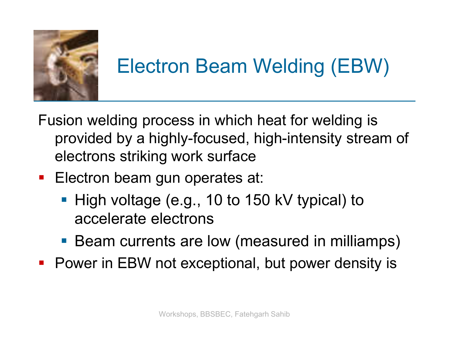

# Electron Beam Welding (EBW)

Fusion welding process in which heat for welding is provided by a highly-focused, high-intensity stream of electrons striking work surface

- **Electron beam gun operates at:** 
	- High voltage (e.g., 10 to 150 kV typical) to accelerate electrons
	- Beam currents are low (measured in milliamps)
- **Power in EBW not exceptional, but power density is**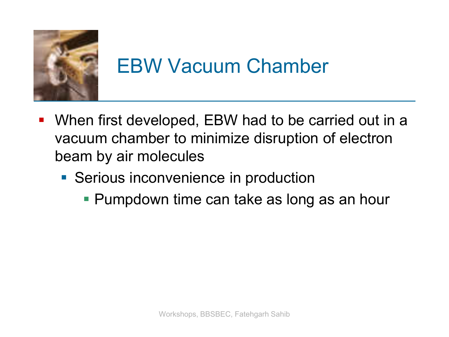

### EBW Vacuum Chamber

- When first developed, EBW had to be carried out in a vacuum chamber to minimize disruption of electron beam by air molecules
	- **Serious inconvenience in production** 
		- **Pumpdown time can take as long as an hour**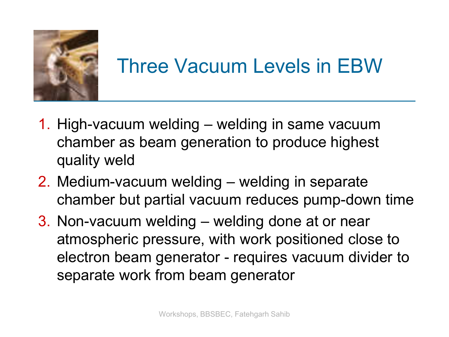

## Three Vacuum Levels in EBW

- 1. High-vacuum welding welding in same vacuum chamber as beam generation to produce highest quality weld
- 2. Medium-vacuum welding welding in separate chamber but partial vacuum reduces pump-down time
- 3. Non-vacuum welding welding done at or near atmospheric pressure, with work positioned close to electron beam generator - requires vacuum divider to separate work from beam generator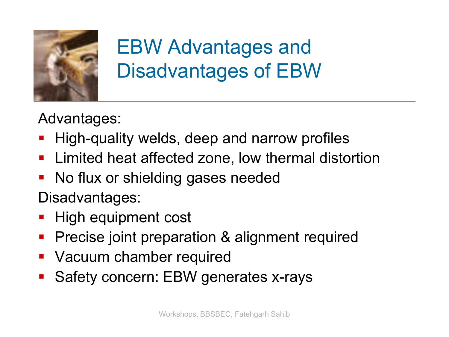

# EBW Advantages and Disadvantages of EBW

Advantages:

- High-quality welds, deep and narrow profiles
- **E** Limited heat affected zone, low thermal distortion
- No flux or shielding gases needed

Disadvantages:

- High equipment cost
- **Precise joint preparation & alignment required**
- **Vacuum chamber required**
- Safety concern: EBW generates x-rays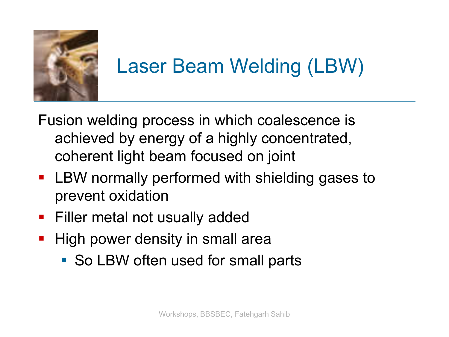

### Laser Beam Welding (LBW)

- Fusion welding process in which coalescence is achieved by energy of a highly concentrated, coherent light beam focused on joint
- **LBW normally performed with shielding gases to** prevent oxidation
- **Filler metal not usually added**
- **High power density in small area** 
	- So LBW often used for small parts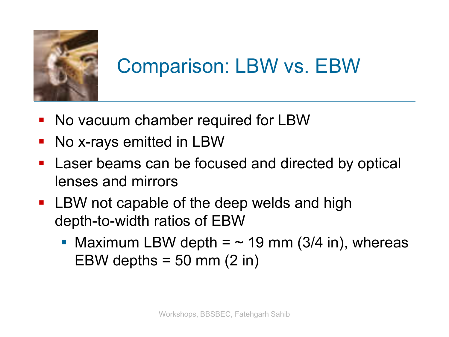

### Comparison: LBW vs. EBW

- No vacuum chamber required for LBW
- No x-rays emitted in LBW
- **Laser beams can be focused and directed by optical** lenses and mirrors
- **EXECT LBW not capable of the deep welds and high** depth-to-width ratios of EBW
	- Maximum LBW depth  $=$   $\sim$  19 mm (3/4 in), whereas EBW depths  $=$  50 mm (2 in)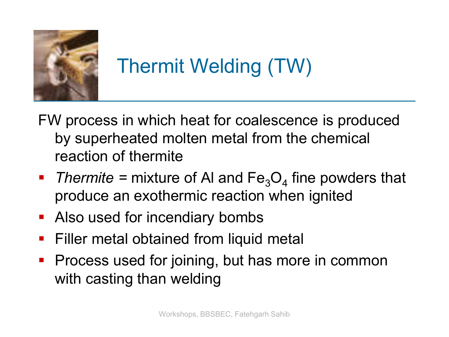

# Thermit Welding (TW)

- FW process in which heat for coalescence is produced by superheated molten metal from the chemical reaction of thermite
- Thermite = mixture of AI and  $Fe<sub>3</sub>O<sub>4</sub>$  fine powders that produce an exothermic reaction when ignited
- **Also used for incendiary bombs**
- **Filler metal obtained from liquid metal**
- **Process used for joining, but has more in common** with casting than welding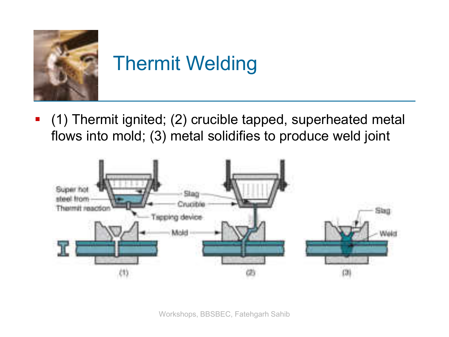

# Thermit Welding

 (1) Thermit ignited; (2) crucible tapped, superheated metal flows into mold; (3) metal solidifies to produce weld joint

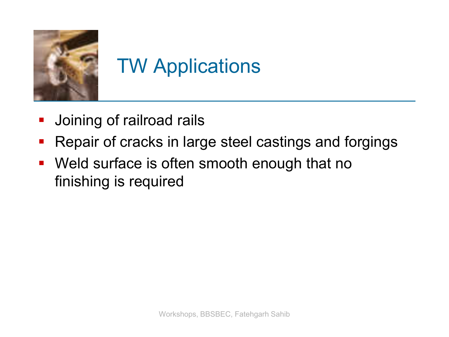

# TW Applications

- Joining of railroad rails
- **Repair of cracks in large steel castings and forgings**
- **Weld surface is often smooth enough that no** finishing is required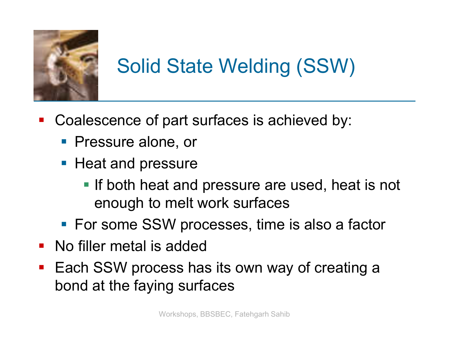

# Solid State Welding (SSW)

- Coalescence of part surfaces is achieved by:
	- **Pressure alone, or**
	- **Heat and pressure** 
		- **If both heat and pressure are used, heat is not** enough to melt work surfaces
	- **For some SSW processes, time is also a factor**
- No filler metal is added
- Each SSW process has its own way of creating a bond at the faying surfaces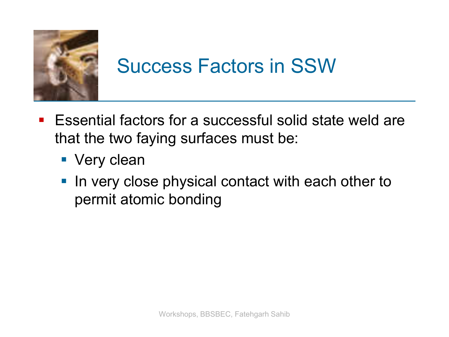

### Success Factors in SSW

- Essential factors for a successful solid state weld are that the two faying surfaces must be:
	- **Very clean**
	- In very close physical contact with each other to permit atomic bonding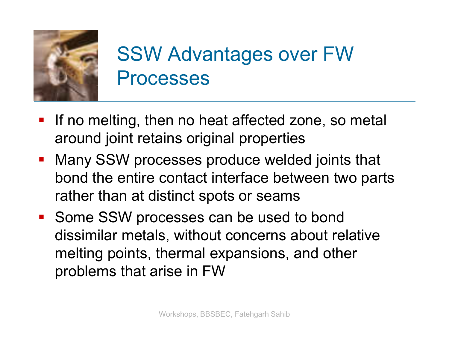

#### SSW Advantages over FW Processes

- **If no melting, then no heat affected zone, so metal** around joint retains original properties
- **Many SSW processes produce welded joints that** bond the entire contact interface between two parts rather than at distinct spots or seams
- **Some SSW processes can be used to bond** dissimilar metals, without concerns about relative melting points, thermal expansions, and other problems that arise in FW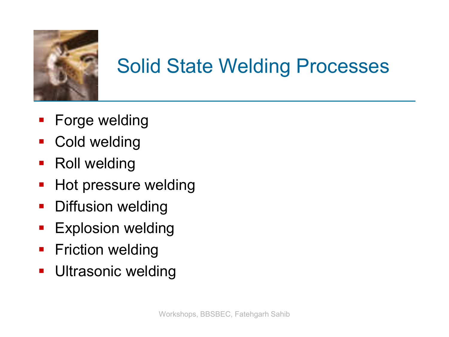

## Solid State Welding Processes

- **Forge welding**
- **Cold welding**
- Roll welding
- **Hot pressure welding**
- **Diffusion welding**
- **Explosion welding**
- **Fiction welding**
- **Ultrasonic welding**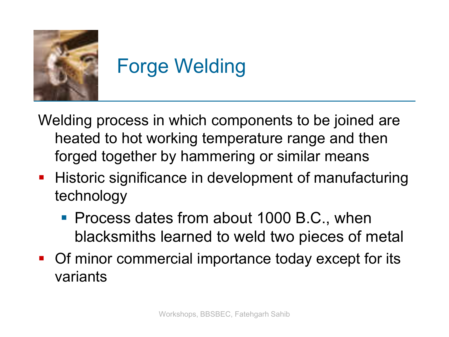

# Forge Welding

Welding process in which components to be joined are heated to hot working temperature range and then forged together by hammering or similar means

- **Historic significance in development of manufacturing** technology
	- **Process dates from about 1000 B.C., when** blacksmiths learned to weld two pieces of metal
- Of minor commercial importance today except for its variants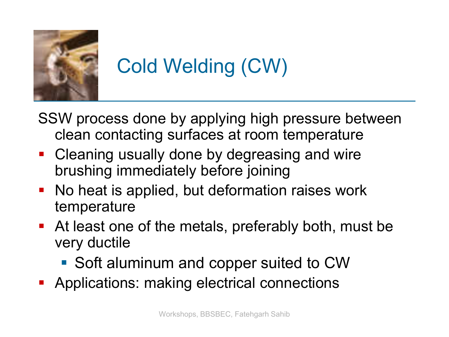

# Cold Welding (CW)

SSW process done by applying high pressure between clean contacting surfaces at room temperature

- Cleaning usually done by degreasing and wire brushing immediately before joining
- No heat is applied, but deformation raises work temperature
- At least one of the metals, preferably both, must be very ductile
	- Soft aluminum and copper suited to CW
- **Applications: making electrical connections**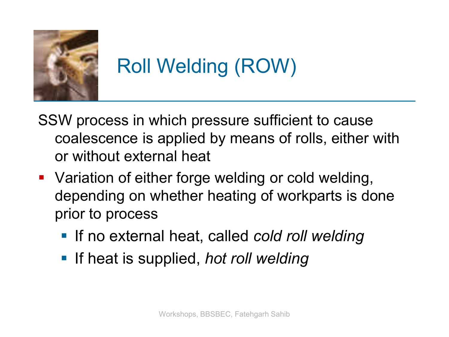

# Roll Welding (ROW)

- SSW process in which pressure sufficient to cause coalescence is applied by means of rolls, either with or without external heat
- **Variation of either forge welding or cold welding,** depending on whether heating of workparts is done prior to process
	- If no external heat, called *cold roll welding*
	- **If heat is supplied,** *hot roll welding*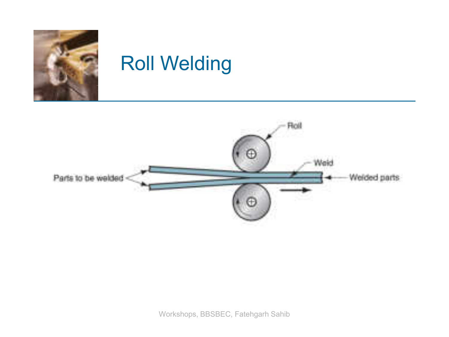

#### Roll Welding

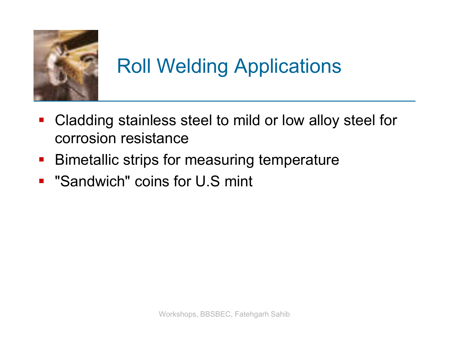

## Roll Welding Applications

- Cladding stainless steel to mild or low alloy steel for corrosion resistance
- **Bimetallic strips for measuring temperature**
- **E** "Sandwich" coins for U.S mint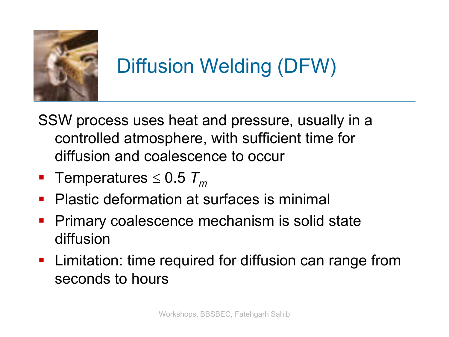

## Diffusion Welding (DFW)

- SSW process uses heat and pressure, usually in a controlled atmosphere, with sufficient time for diffusion and coalescence to occur
- **Temperatures**  $\leq 0.5$   $T_m$
- **Plastic deformation at surfaces is minimal**
- **Primary coalescence mechanism is solid state** diffusion
- **EXTE.** Limitation: time required for diffusion can range from seconds to hours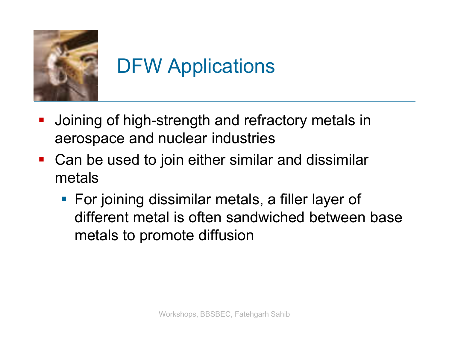

## DFW Applications

- Joining of high-strength and refractory metals in aerospace and nuclear industries
- Can be used to join either similar and dissimilar metals
	- **For joining dissimilar metals, a filler layer of** different metal is often sandwiched between base metals to promote diffusion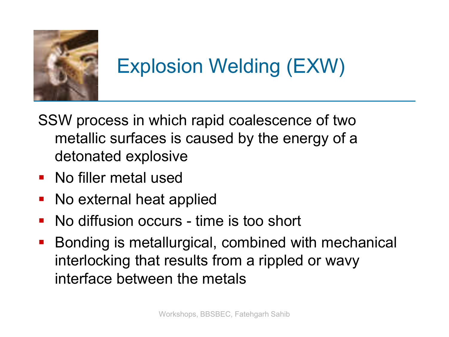

#### Explosion Welding (EXW)

- SSW process in which rapid coalescence of two metallic surfaces is caused by the energy of a detonated explosive
- **No filler metal used**
- No external heat applied
- **No diffusion occurs time is too short**
- **Bonding is metallurgical, combined with mechanical** interlocking that results from a rippled or wavy interface between the metals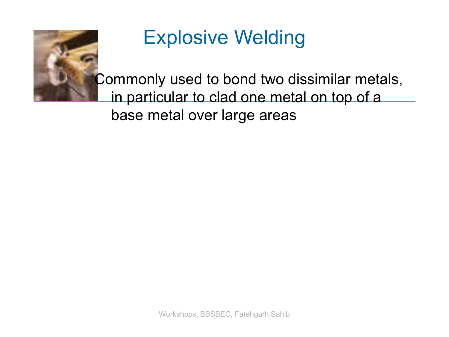

#### Explosive Welding

Commonly used to bond two dissimilar metals, in particular to clad one metal on top of a base metal over large areas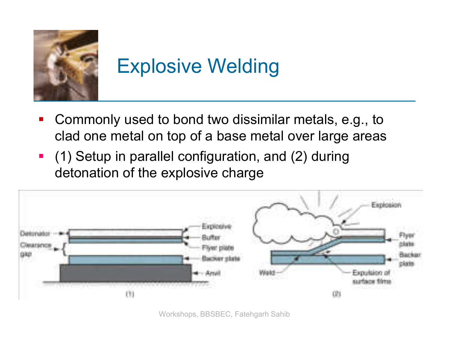

#### Explosive Welding

- Commonly used to bond two dissimilar metals, e.g., to clad one metal on top of a base metal over large areas
- (1) Setup in parallel configuration, and (2) during detonation of the explosive charge



Workshops, BBSBEC, Fatehgarh Sahib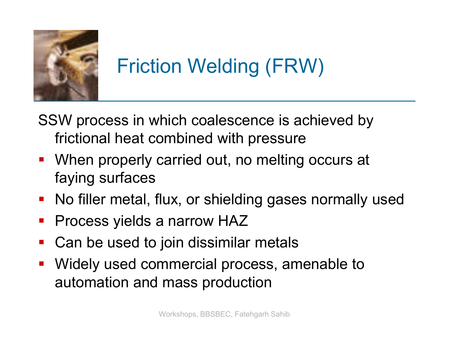

## Friction Welding (FRW)

SSW process in which coalescence is achieved by frictional heat combined with pressure

- When properly carried out, no melting occurs at faying surfaces
- No filler metal, flux, or shielding gases normally used
- **Process yields a narrow HAZ**
- Can be used to join dissimilar metals
- Widely used commercial process, amenable to automation and mass production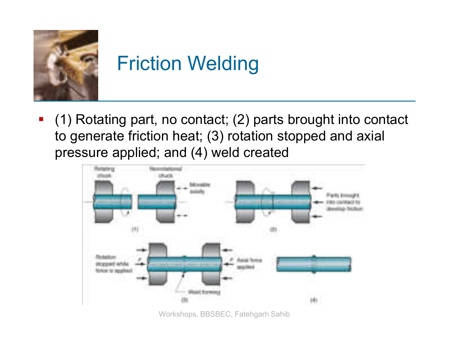

## Friction Welding

 (1) Rotating part, no contact; (2) parts brought into contact to generate friction heat; (3) rotation stopped and axial pressure applied; and (4) weld created



Workshops, BBSBEC, Fatehgarh Sahib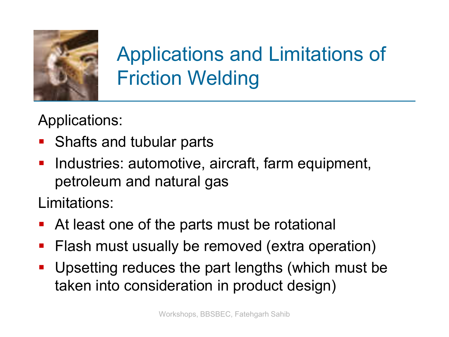

## Applications and Limitations of Friction Welding

Applications:

- **Shafts and tubular parts**
- **Industries: automotive, aircraft, farm equipment,** petroleum and natural gas

Limitations:

- At least one of the parts must be rotational
- **Fiash must usually be removed (extra operation)**
- Upsetting reduces the part lengths (which must be taken into consideration in product design)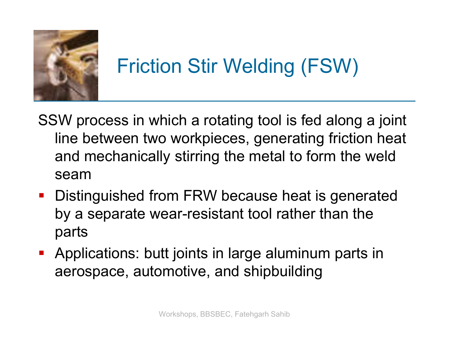

## Friction Stir Welding (FSW)

- SSW process in which a rotating tool is fed along a joint line between two workpieces, generating friction heat and mechanically stirring the metal to form the weld seam
- **Distinguished from FRW because heat is generated** by a separate wear-resistant tool rather than the parts
- Applications: butt joints in large aluminum parts in aerospace, automotive, and shipbuilding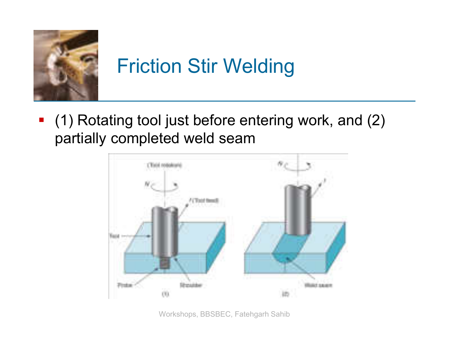

## Friction Stir Welding

 (1) Rotating tool just before entering work, and (2) partially completed weld seam



Workshops, BBSBEC, Fatehgarh Sahib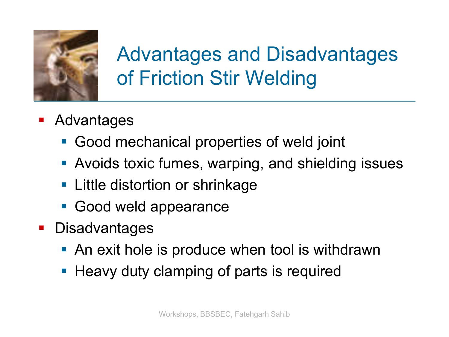

#### Advantages and Disadvantages of Friction Stir Welding

- **Advantages** 
	- Good mechanical properties of weld joint
	- **Avoids toxic fumes, warping, and shielding issues**
	- **Little distortion or shrinkage**
	- **Good weld appearance**
- **Disadvantages** 
	- An exit hole is produce when tool is withdrawn
	- **Heavy duty clamping of parts is required**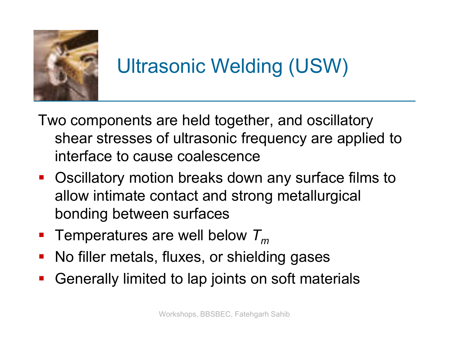

#### Ultrasonic Welding (USW)

- Two components are held together, and oscillatory shear stresses of ultrasonic frequency are applied to interface to cause coalescence
- Oscillatory motion breaks down any surface films to allow intimate contact and strong metallurgical bonding between surfaces
- Temperatures are well below  $T_m$
- No filler metals, fluxes, or shielding gases
- Generally limited to lap joints on soft materials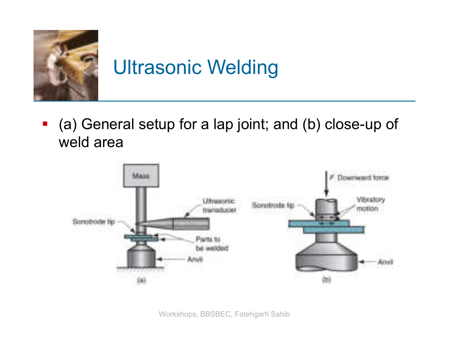

## Ultrasonic Welding

 (a) General setup for a lap joint; and (b) close-up of weld area



Workshops, BBSBEC, Fatehgarh Sahib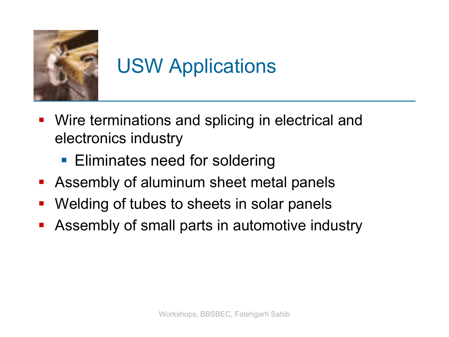

## USW Applications

- **Wire terminations and splicing in electrical and** electronics industry
	- **Eliminates need for soldering**
- **Assembly of aluminum sheet metal panels**
- Welding of tubes to sheets in solar panels
- **Assembly of small parts in automotive industry**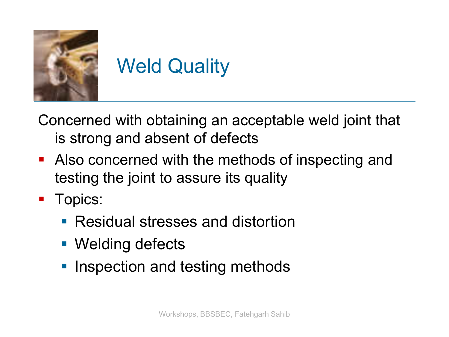

#### Weld Quality

Concerned with obtaining an acceptable weld joint that is strong and absent of defects

- Also concerned with the methods of inspecting and testing the joint to assure its quality
- **Topics:** 
	- **Residual stresses and distortion**
	- Welding defects
	- **Inspection and testing methods**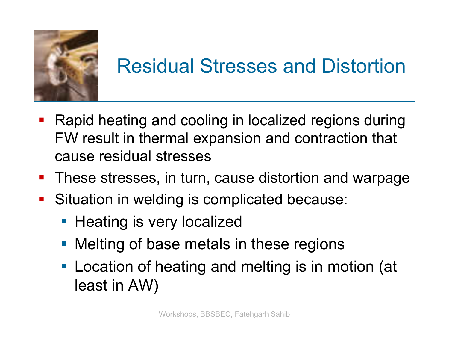

## Residual Stresses and Distortion

- **Rapid heating and cooling in localized regions during** FW result in thermal expansion and contraction that cause residual stresses
- **These stresses, in turn, cause distortion and warpage**
- **Situation in welding is complicated because:** 
	- Heating is very localized
	- **Melting of base metals in these regions**
	- **Location of heating and melting is in motion (at** least in AW)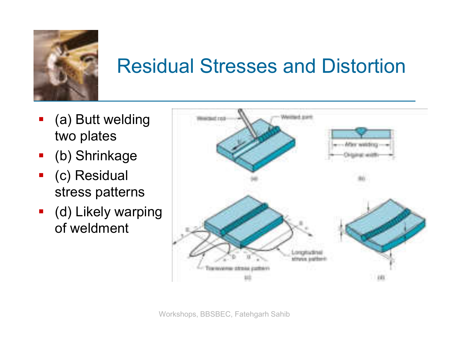

#### Residual Stresses and Distortion

- (a) Butt welding two plates
- (b) Shrinkage
- (c) Residual stress patterns
- **-** (d) Likely warping of weldment

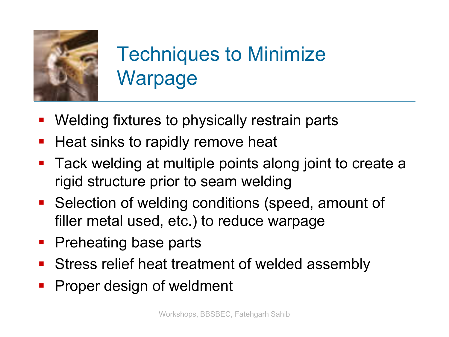

## Techniques to Minimize **Warpage**

- Welding fixtures to physically restrain parts
- **Heat sinks to rapidly remove heat**
- **Tack welding at multiple points along joint to create a** rigid structure prior to seam welding
- **Selection of welding conditions (speed, amount of** filler metal used, etc.) to reduce warpage
- **Preheating base parts**
- **Stress relief heat treatment of welded assembly**
- **Proper design of weldment**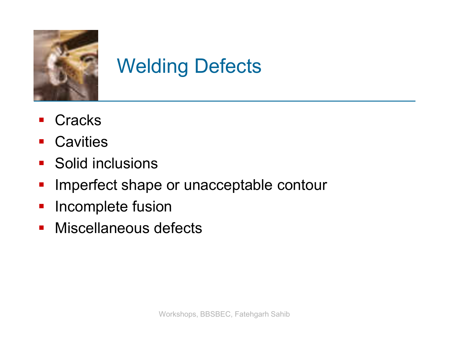

## Welding Defects

- **Cracks**
- **Cavities**
- **Solid inclusions**
- **Imperfect shape or unacceptable contour**
- **Incomplete fusion**
- **Miscellaneous defects**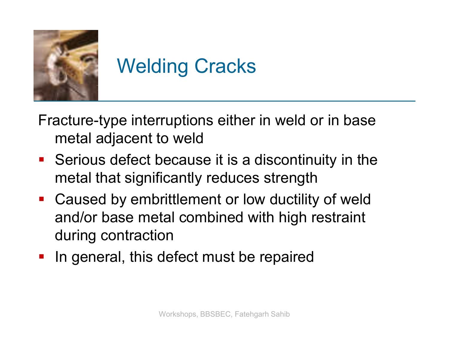

## Welding Cracks

Fracture-type interruptions either in weld or in base metal adjacent to weld

- Serious defect because it is a discontinuity in the metal that significantly reduces strength
- **-** Caused by embrittlement or low ductility of weld and/or base metal combined with high restraint during contraction
- **If** In general, this defect must be repaired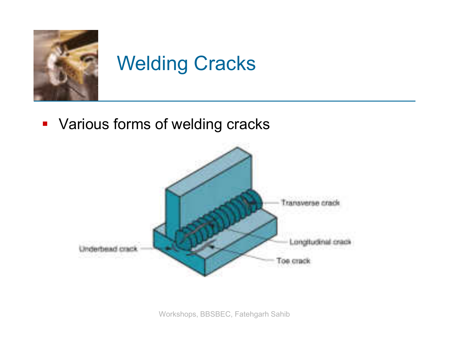

## Welding Cracks

**• Various forms of welding cracks** 

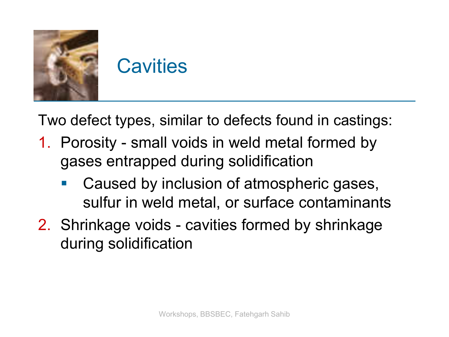

Two defect types, similar to defects found in castings:

- 1. Porosity small voids in weld metal formed by gases entrapped during solidification
	- Caused by inclusion of atmospheric gases, sulfur in weld metal, or surface contaminants
- 2. Shrinkage voids cavities formed by shrinkage during solidification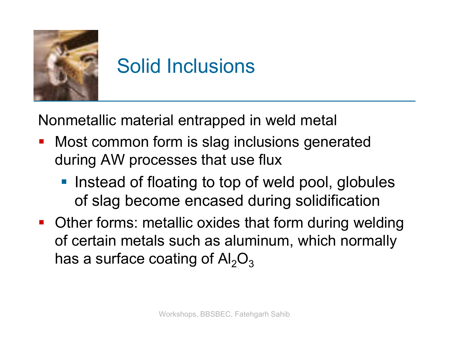

## Solid Inclusions

Nonmetallic material entrapped in weld metal

- **Most common form is slag inclusions generated** during AW processes that use flux
	- **Instead of floating to top of weld pool, globules** of slag become encased during solidification
- Other forms: metallic oxides that form during welding of certain metals such as aluminum, which normally has a surface coating of  $Al_2O_3$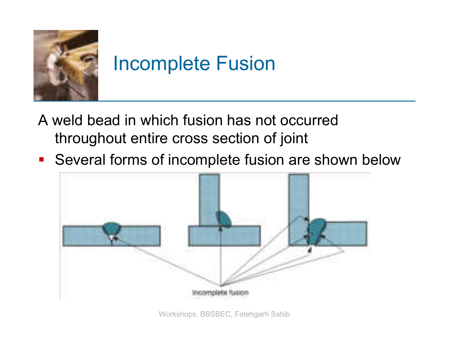

#### Incomplete Fusion

- A weld bead in which fusion has not occurred throughout entire cross section of joint
- **Several forms of incomplete fusion are shown below**



Workshops, BBSBEC, Fatehgarh Sahib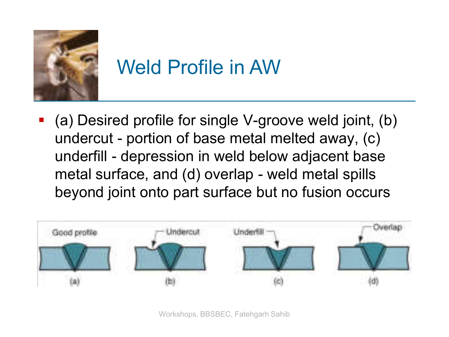

#### Weld Profile in AW

 (a) Desired profile for single V-groove weld joint, (b) undercut - portion of base metal melted away, (c) underfill - depression in weld below adjacent base metal surface, and (d) overlap - weld metal spills beyond joint onto part surface but no fusion occurs



Workshops, BBSBEC, Fatehgarh Sahib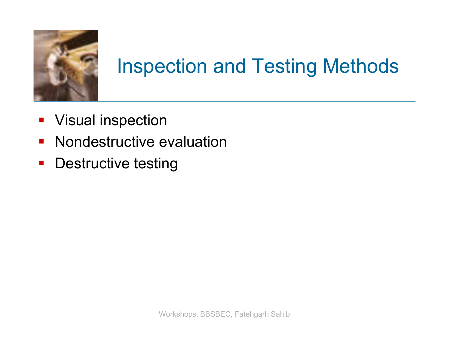

#### Inspection and Testing Methods

- **Visual inspection**
- **Nondestructive evaluation**
- **-** Destructive testing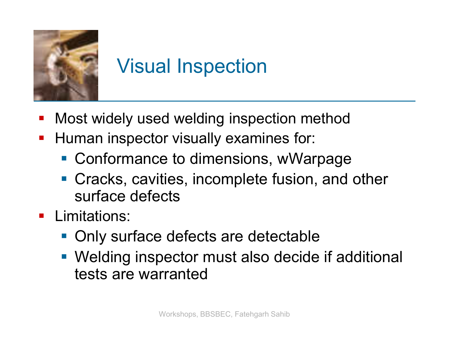

## Visual Inspection

- Most widely used welding inspection method
- **Human inspector visually examines for:** 
	- Conformance to dimensions, wWarpage
	- Cracks, cavities, incomplete fusion, and other surface defects
- **Limitations:** 
	- Only surface defects are detectable
	- Welding inspector must also decide if additional tests are warranted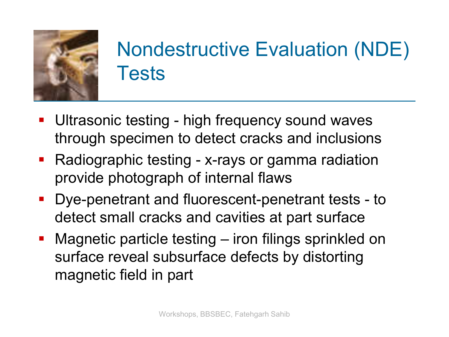

## Nondestructive Evaluation (NDE) **Tests**

- **Ultrasonic testing high frequency sound waves** through specimen to detect cracks and inclusions
- Radiographic testing x-rays or gamma radiation provide photograph of internal flaws
- Dye-penetrant and fluorescent-penetrant tests to detect small cracks and cavities at part surface
- Magnetic particle testing iron filings sprinkled on surface reveal subsurface defects by distorting magnetic field in part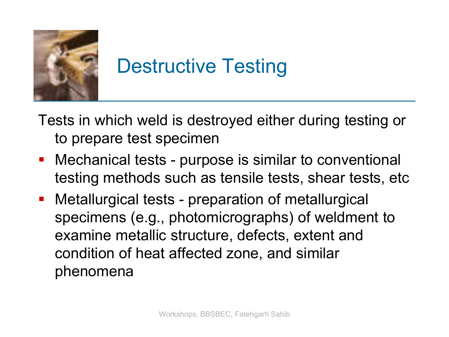

## Destructive Testing

Tests in which weld is destroyed either during testing or to prepare test specimen

- Mechanical tests purpose is similar to conventional testing methods such as tensile tests, shear tests, etc
- Metallurgical tests preparation of metallurgical specimens (e.g., photomicrographs) of weldment to examine metallic structure, defects, extent and condition of heat affected zone, and similar phenomena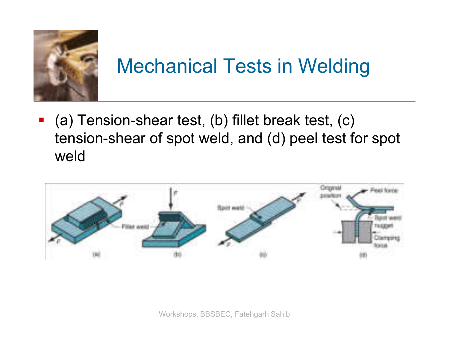

### Mechanical Tests in Welding

 (a) Tension-shear test, (b) fillet break test, (c) tension-shear of spot weld, and (d) peel test for spot weld

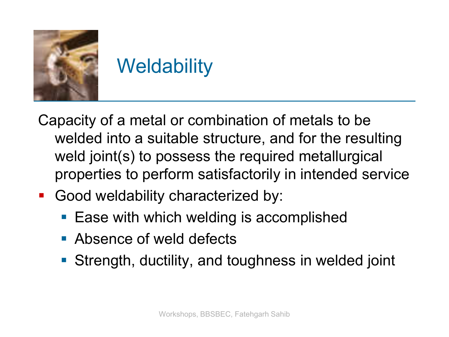

## **Weldability**

Capacity of a metal or combination of metals to be welded into a suitable structure, and for the resulting weld joint(s) to possess the required metallurgical properties to perform satisfactorily in intended service

- **Good weldability characterized by:** 
	- **Ease with which welding is accomplished**
	- **Absence of weld defects**
	- Strength, ductility, and toughness in welded joint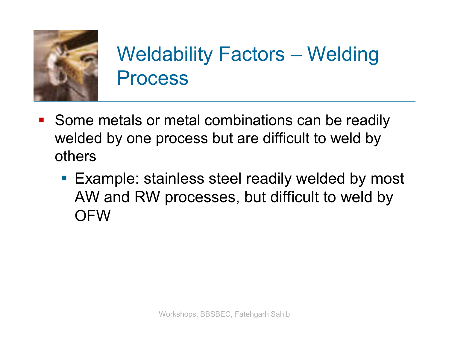

## Weldability Factors – Welding Process

- **Some metals or metal combinations can be readily** welded by one process but are difficult to weld by others
	- **Example: stainless steel readily welded by most** AW and RW processes, but difficult to weld by **OFW**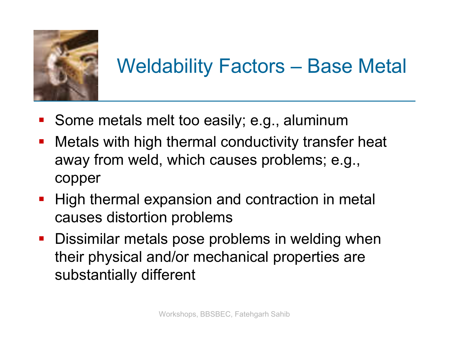

## Weldability Factors – Base Metal

- **Some metals melt too easily; e.g., aluminum**
- **Metals with high thermal conductivity transfer heat** away from weld, which causes problems; e.g., copper
- **High thermal expansion and contraction in metal** causes distortion problems
- **Dissimilar metals pose problems in welding when** their physical and/or mechanical properties are substantially different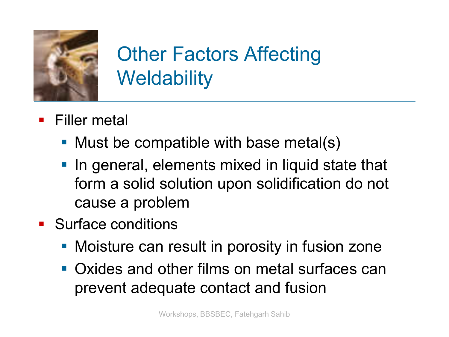

## Other Factors Affecting **Weldability**

- **Filler metal** 
	- Must be compatible with base metal(s)
	- **If** In general, elements mixed in liquid state that form a solid solution upon solidification do not cause a problem
- **Surface conditions** 
	- **Moisture can result in porosity in fusion zone**
	- Oxides and other films on metal surfaces can prevent adequate contact and fusion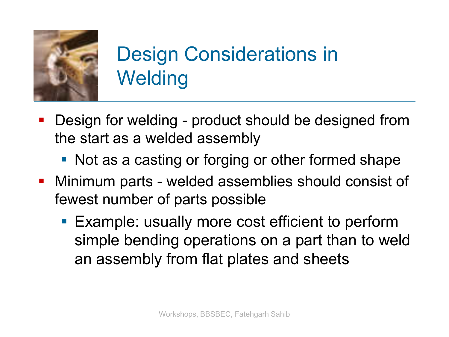

## Design Considerations in **Welding**

- Design for welding product should be designed from the start as a welded assembly
	- Not as a casting or forging or other formed shape
- Minimum parts welded assemblies should consist of fewest number of parts possible
	- **Example: usually more cost efficient to perform** simple bending operations on a part than to weld an assembly from flat plates and sheets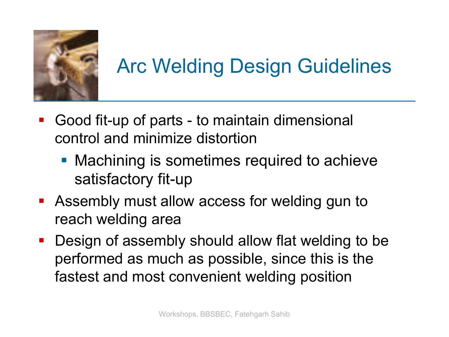

# Arc Welding Design Guidelines

- Good fit-up of parts to maintain dimensional control and minimize distortion
	- **Machining is sometimes required to achieve** satisfactory fit-up
- Assembly must allow access for welding gun to reach welding area
- **-** Design of assembly should allow flat welding to be performed as much as possible, since this is the fastest and most convenient welding position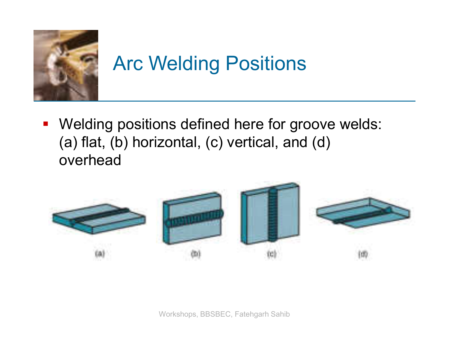

# Arc Welding Positions

**• Welding positions defined here for groove welds:** (a) flat, (b) horizontal, (c) vertical, and (d) overhead



Workshops, BBSBEC, Fatehgarh Sahib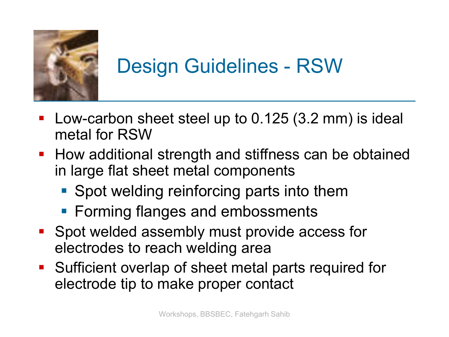

### Design Guidelines - RSW

- Low-carbon sheet steel up to 0.125 (3.2 mm) is ideal metal for RSW
- How additional strength and stiffness can be obtained in large flat sheet metal components
	- **Spot welding reinforcing parts into them**
	- Forming flanges and embossments
- **Spot welded assembly must provide access for** electrodes to reach welding area
- Sufficient overlap of sheet metal parts required for electrode tip to make proper contact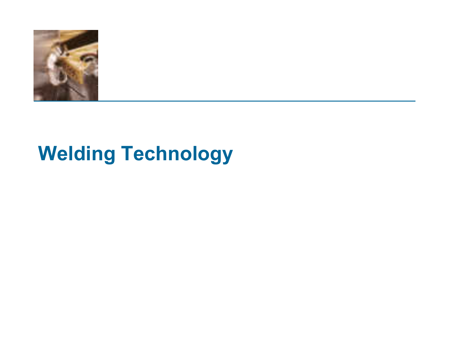

### **Welding Technology**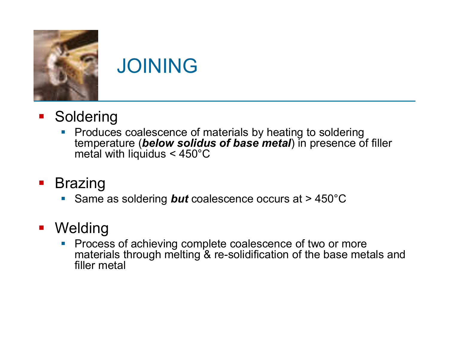

### JOINING

- **Soldering** 
	- **Produces coalescence of materials by heating to soldering** temperature (*below solidus of base metal*) in presence of filler metal with liquidus < 450°C
- **Brazing** 
	- Same as soldering *but* coalescence occurs at > 450°C

#### **• Welding**

**Process of achieving complete coalescence of two or more** materials through melting & re-solidification of the base metals and filler metal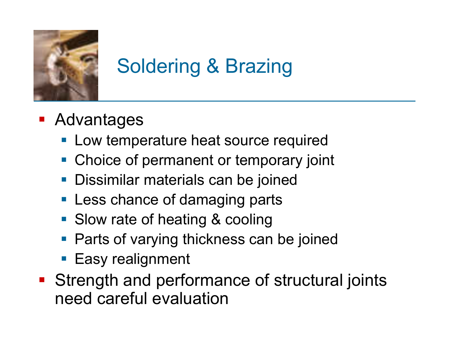

# Soldering & Brazing

- **Advantages** 
	- **Low temperature heat source required**
	- **Choice of permanent or temporary joint**
	- **Dissimilar materials can be joined**
	- **Less chance of damaging parts**
	- **Slow rate of heating & cooling**
	- **Parts of varying thickness can be joined**
	- **Easy realignment**
- **Strength and performance of structural joints** need careful evaluation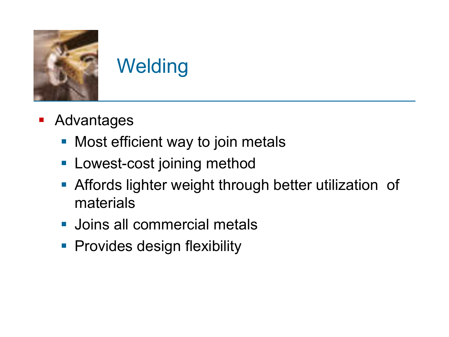

# **Welding**

- **-** Advantages
	- **Nost efficient way to join metals**
	- **Lowest-cost joining method**
	- **Affords lighter weight through better utilization of** materials
	- **Joins all commercial metals**
	- **Provides design flexibility**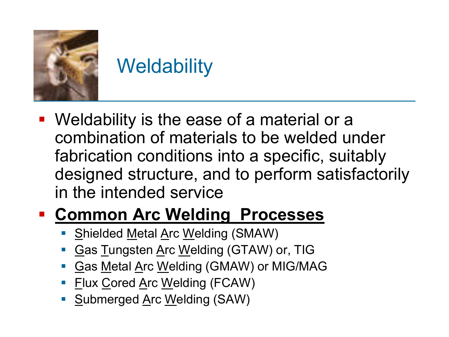

### **Weldability**

 Weldability is the ease of a material or a combination of materials to be welded under fabrication conditions into a specific, suitably designed structure, and to perform satisfactorily in the intended service

#### **Common Arc Welding Processes**

- Shielded Metal Arc Welding (SMAW)
- **Gas Tungsten Arc Welding (GTAW) or, TIG**
- Gas Metal Arc Welding (GMAW) or MIG/MAG
- **Flux Cored Arc Welding (FCAW)**
- Submerged Arc Welding (SAW)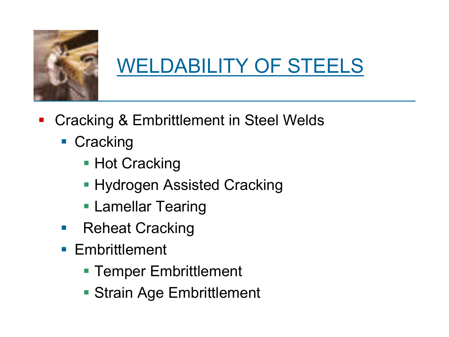

## WELDABILITY OF STEELS

- Cracking & Embrittlement in Steel Welds
	- **Cracking** 
		- Hot Cracking
		- **Hydrogen Assisted Cracking**
		- **Lamellar Tearing**
	- Reheat Cracking
	- **Embrittlement** 
		- **Temper Embrittlement**
		- **Strain Age Embrittlement**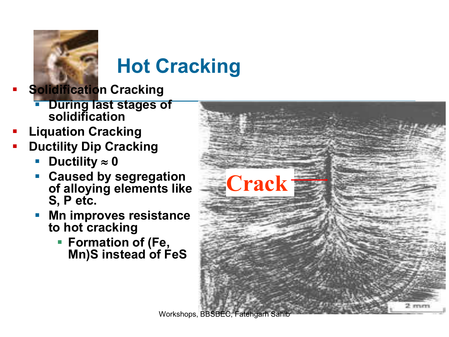

# **Hot Cracking**

- **Solidification Cracking**
	- **During last stages of solidification**
- **Liquation Cracking**
- **Ductility Dip Cracking**
	- Ductility  $\approx$  0
	- **Caused by segregation of alloying elements like S, P etc.**
	- **Mn improves resistance to hot cracking**
		- **Formation of (Fe, Mn)S instead of FeS**



Workshops, BBSBEC, Fatehgarh Sahi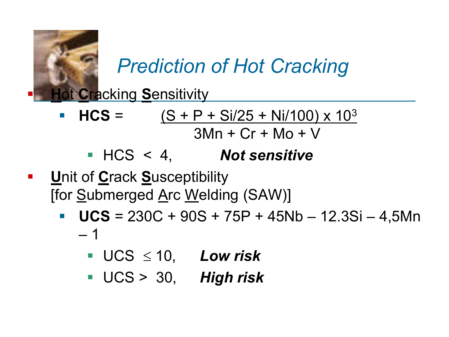

*Prediction of Hot Cracking*

**H**ot **C**racking **S**ensitivity

- **HCS** =  $(S + P + Si/25 + Ni/100) \times 10^3$  $3Mn + Cr + Mo + V$ 
	- HCS < 4, *Not sensitive*
- **U**nit of **C**rack **S**usceptibility [for Submerged Arc Welding (SAW)]
	- **UCS** =  $230C + 90S + 75P + 45Nb 12.3Si 4,5Mn$ – 1
		- $\blacksquare$  UCS  $\leq$  10, *Low risk*
		- UCS > 30, *High risk*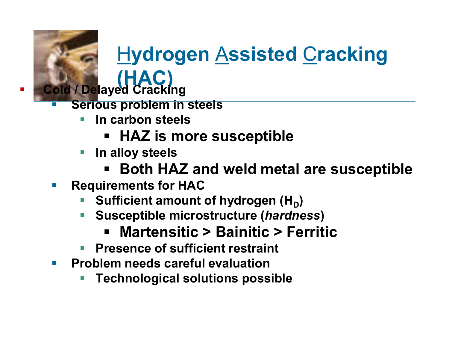#### H**ydrogen** A**ssisted** C**racking (HAC) Cold / Delayed Cracking**

- **Serious problem in steels**
	- **In carbon steels**
		- **HAZ is more susceptible**
	- **In alloy steels** 
		- **Both HAZ and weld metal are susceptible**
- **Requirements for HAC** 
	- Sufficient amount of hydrogen (H<sub>D</sub>)
	- **Susceptible microstructure (***hardness***)**
		- **Martensitic > Bainitic > Ferritic**
	- **Presence of sufficient restraint**
- **Problem needs careful evaluation**
	- **Technological solutions possible**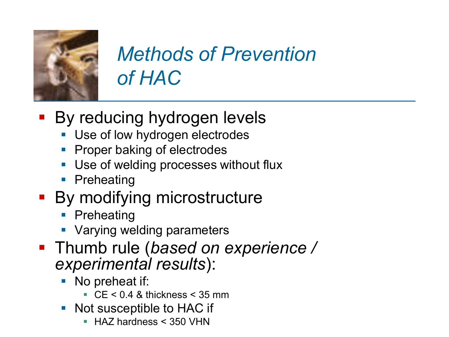

## *Methods of Prevention of HAC*

- **By reducing hydrogen levels** 
	- Use of low hydrogen electrodes
	- Proper baking of electrodes
	- Use of welding processes without flux
	- **Preheating**
- **By modifying microstructure** 
	- **Preheating**
	- **Varying welding parameters**
- Thumb rule (*based on experience / experimental results*):
	- No preheat if:
		- $\textdegree$  CE < 0.4 & thickness < 35 mm
	- Not susceptible to HAC if
		- HAZ hardness < 350 VHN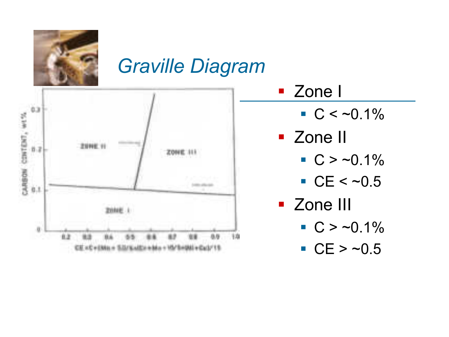

#### *Graville Diagram*



#### **Zone I**

 $C < -0.1\%$ 

#### **E** Zone II

- $C > -0.1\%$
- $CCE < 0.5$
- **E** Zone III
	- $C > -0.1\%$
	- $CCE > -0.5$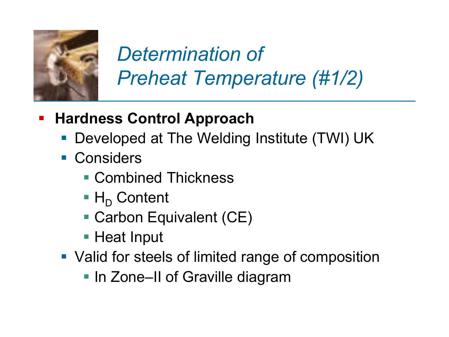

## *Determination of Preheat Temperature (#1/2)*

- **Hardness Control Approach** 
	- Developed at The Welding Institute (TWI) UK
	- **Considers** 
		- Combined Thickness
		- $\blacksquare$  H<sub>D</sub> Content
		- Carbon Equivalent (CE)
		- Heat Input
	- Valid for steels of limited range of composition
		- In Zone–II of Graville diagram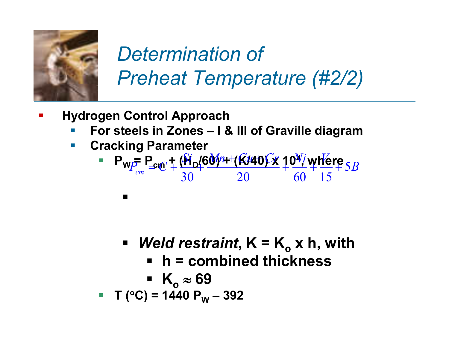

## *Determination of Preheat Temperature (#2/2)*

- **Hydrogen Control Approach** 
	- **For steels in Zones – I & III of Graville diagram**
	- **Cracking Parameter**

$$
= P_{W} = P_{cm} + \frac{(\hat{M}_D / 60\hat{W} + (\hat{K}/40\hat{K}) \hat{K}) \hat{W} + \hat{M}e^{2\hat{K}}}{20} = 5B
$$

- **Weld restraint,**  $K = K_0 x h$ **, with** 
	- **h = combined thickness**

• 
$$
K_o \approx 69
$$

**T (C) = 1440 P<sup>W</sup> – 392**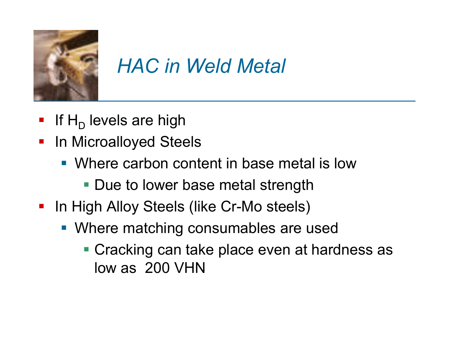

#### *HAC in Weld Metal*

- If  $H<sub>D</sub>$  levels are high
- **In Microalloyed Steels** 
	- Where carbon content in base metal is low
		- **Due to lower base metal strength**
- **In High Alloy Steels (like Cr-Mo steels)** 
	- Where matching consumables are used
		- **Cracking can take place even at hardness as** low as 200 VHN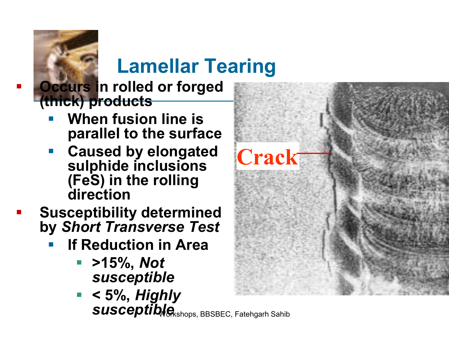## **Lamellar Tearing**

 **Occurs in rolled or forged (thick) products**

- **When fusion line is parallel to the surface**
- **Caused by elongated sulphide inclusions (FeS) in the rolling direction**
- **Susceptibility determined by** *Short Transverse Test*
	- **If Reduction in Area**
		- **>15%,** *Not susceptible*
		- **< 5%,** *Highly susceptible shops, BBSBEC, Fatehgarh Sahib*

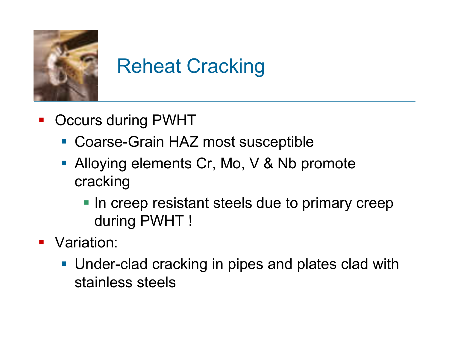

# Reheat Cracking

- **-** Occurs during PWHT
	- Coarse-Grain HAZ most susceptible
	- **Alloying elements Cr, Mo, V & Nb promote** cracking
		- **In creep resistant steels due to primary creep** during PWHT !
- **•** Variation:
	- **Under-clad cracking in pipes and plates clad with** stainless steels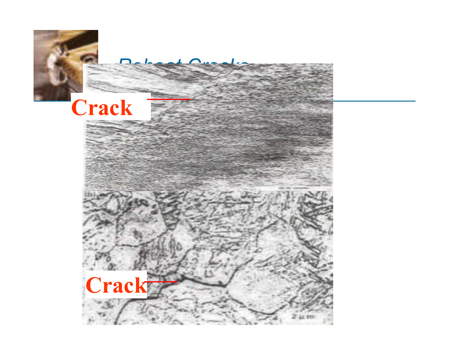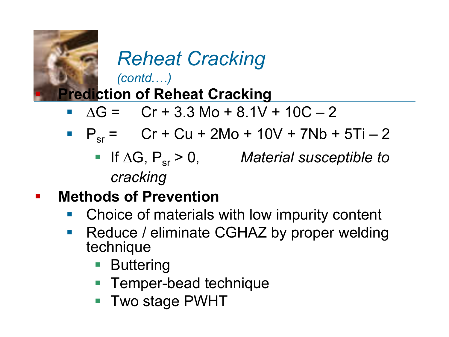

# *Reheat Cracking*

*(contd.…)*

#### **Prediction of Reheat Cracking**

- $\overline{AG} = \overline{Cr} + 3.3 \text{ Mo} + 8.1V + 10C 2$
- $P_{sr} =$  Cr + Cu + 2Mo + 10V + 7Nb + 5Ti 2
	- If  $\Delta G$ ,  $P_{sr} > 0$ , *Material susceptible to cracking*

#### **E** Methods of Prevention

- Choice of materials with low impurity content
- **Reduce / eliminate CGHAZ by proper welding** technique
	- **Buttering**
	- **Temper-bead technique**
	- Two stage PWHT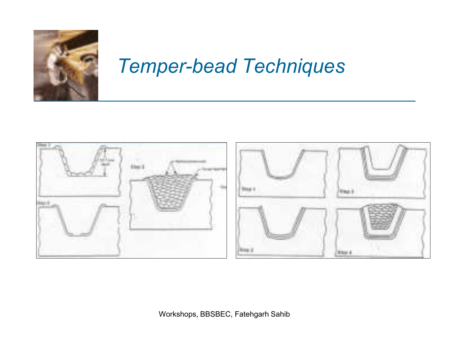

#### *Temper-bead Techniques*

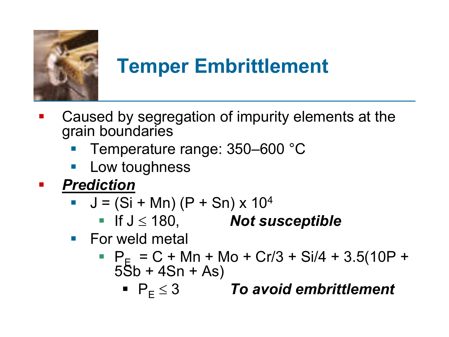

## **Temper Embrittlement**

- Caused by segregation of impurity elements at the grain boundaries
	- Temperature range: 350–600 °C
	- Low toughness
- *Prediction*
	- $J = (Si + Mn) (P + Sn) \times 10<sup>4</sup>$ 
		- If  $J \le 180$ , **Not susceptible**
	- **For weld metal** 
		- $P_{F} = C + Mn + Mo + Cr/3 + Si/4 + 3.5(10P +$  $55b + 4Sn + As$ 
			- $\blacksquare$   $\blacksquare$   $\blacksquare$   $\blacksquare$   $\blacksquare$   $\blacksquare$   $\blacksquare$   $\blacksquare$   $\blacksquare$   $\blacksquare$   $\blacksquare$   $\blacksquare$   $\blacksquare$   $\blacksquare$   $\blacksquare$   $\blacksquare$   $\blacksquare$   $\blacksquare$   $\blacksquare$   $\blacksquare$   $\blacksquare$   $\blacksquare$   $\blacksquare$   $\blacksquare$   $\blacksquare$   $\blacksquare$   $\blacksquare$   $\blacksquare$   $\blacksquare$   $\blacksquare$   $\blacksquare$   $\blacks$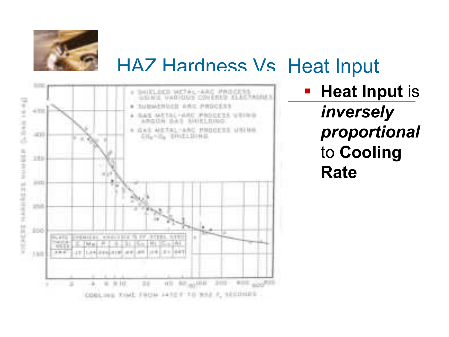

#### HAZ Hardness Vs. Heat Input



 **Heat Input** is *inversely proportional* to **Cooling Rate**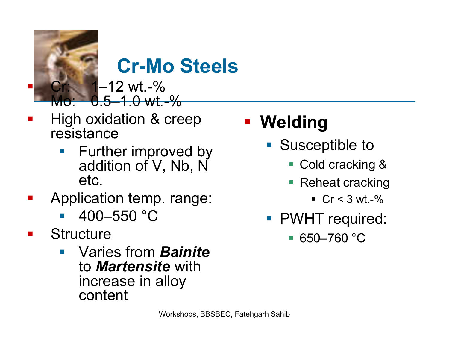

### **Cr-Mo Steels**

 $-12$  wt.-%  $0.5-1.0$  wt. $-%$ 

- High oxidation & creep resistance
	- Further improved by addition of V, Nb, N etc.
- Application temp. range:
	- 400–550 °C
- **Structure** 
	- Varies from *Bainite*  to *Martensite* with increase in alloy content

#### **Welding**

- Susceptible to
	- Cold cracking &
	- Reheat cracking
		- $Cr < 3 wt %$
- **PWHT** required:
	- $-650 760$  °C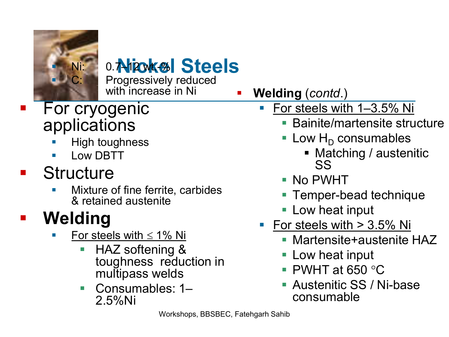

# 0.7 Nicokel Steels

Progressively reduced with increase in Ni

- For cryogenic applications
	- High toughness
	- Low DBTT

#### **Structure**

 Mixture of fine ferrite, carbides & retained austenite

### **Welding**

- For steels with  $\leq 1\%$  Ni
	- HAZ softening & toughness reduction in multipass welds
	- Consumables: 1– 2.5%Ni
- **Welding** (*contd*.)
	- For steels with 1–3.5% Ni
		- Bainite/martensite structure
		- Low  $H_D$  consumables
			- Matching / austenitic SS
		- No PWHT
		- Temper-bead technique
		- **Low heat input**
	- For steels with  $> 3.5\%$  Ni
		- Martensite+austenite HAZ
		- **Low heat input**
		- $\blacksquare$  PWHT at 650 °C
		- **Austenitic SS / Ni-base** consumable

Workshops, BBSBEC, Fatehgarh Sahib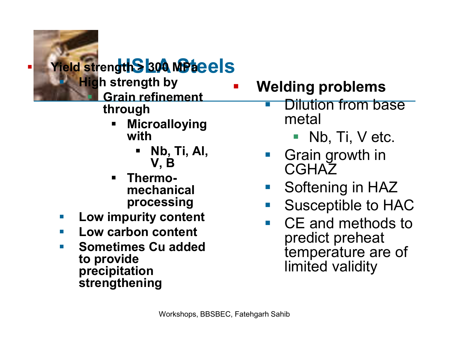#### **Fig. 300 MPacels**

 **High strength by Grain refinement through**

- **Microalloying with**
	- **Nb, Ti, Al, V, B**
- **Thermomechanical processing**
- **Low impurity content**
- **Low carbon content**
- **E** Sometimes Cu added **to provide precipitation strengthening**

**Welding problems**

- Dilution from base metal
	- $\blacksquare$  Nb, Ti, V etc.
- Grain growth in **CGHAZ**
- Softening in HAZ
- Susceptible to HAC
	- CE and methods to predict preheat temperature are of limited validity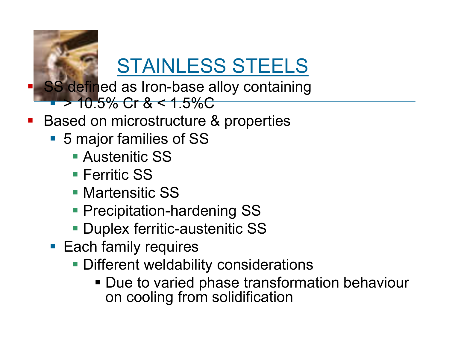

# STAINLESS STEELS

- SS defined as Iron-base alloy containing
	- $10.5\%$  Cr &  $\leq 1.5\%$ C
- Based on microstructure & properties
	- 5 major families of SS
		- **Austenitic SS**
		- **Ferritic SS**
		- **Martensitic SS**
		- **Precipitation-hardening SS**
		- **Duplex ferritic-austenitic SS**
	- Each family requires
		- **Different weldability considerations** 
			- **Due to varied phase transformation behaviour** on cooling from solidification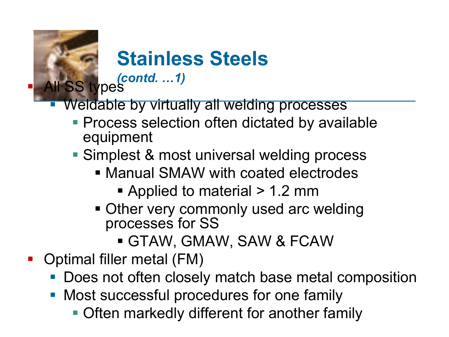

### **Stainless Steels**

*(contd. …1)*

- Weldable by virtually all welding processes
	- **Process selection often dictated by available** equipment
	- Simplest & most universal welding process
		- Manual SMAW with coated electrodes
			- Applied to material > 1.2 mm
		- Other very commonly used arc welding processes for SS
			- GTAW, GMAW, SAW & FCAW
- **Optimal filler metal (FM)** 
	- **Does not often closely match base metal composition**
	- **Most successful procedures for one family** 
		- **Often markedly different for another family**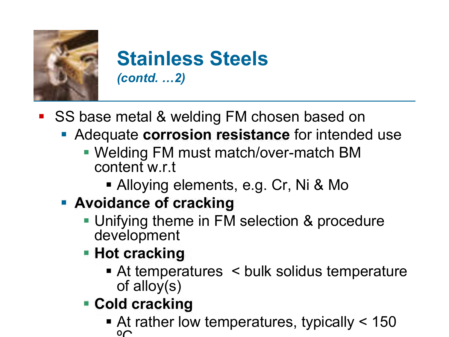

#### **Stainless Steels** *(contd. …2)*

- SS base metal & welding FM chosen based on
	- **Adequate corrosion resistance** for intended use
		- Welding FM must match/over-match BM content w.r.t
			- Alloying elements, e.g. Cr, Ni & Mo
	- **Avoidance of cracking**
		- **Unifying theme in FM selection & procedure** development
		- **Hot cracking** 
			- At temperatures < bulk solidus temperature of alloy(s)
		- **Cold cracking**
			- At rather low temperatures, typically < 150  $\Omega$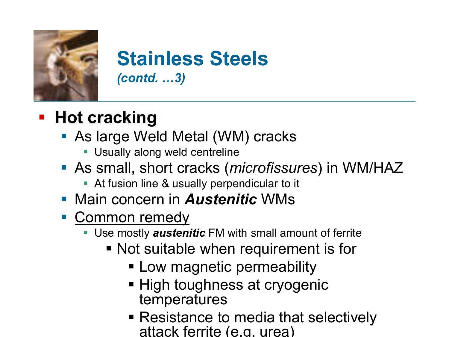

#### **Stainless Steels** *(contd. …3)*

#### **Hot cracking**

- As large Weld Metal (WM) cracks
	- **-** Usually along weld centreline
- As small, short cracks (*microfissures*) in WM/HAZ
	- At fusion line & usually perpendicular to it
- **Main concern in Austenitic WMs**
- Common remedy
	- Use mostly *austenitic* FM with small amount of ferrite
		- Not suitable when requirement is for
			- **Low magnetic permeability**
			- High toughness at cryogenic temperatures
			- Resistance to media that selectively attack ferrite (e.g. urea)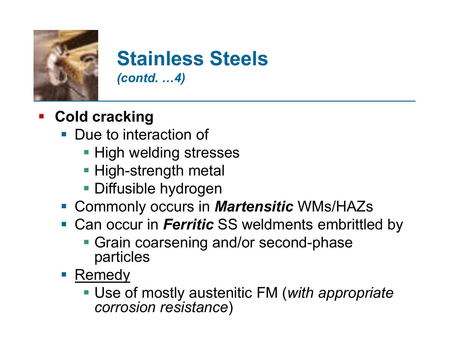

#### **Stainless Steels** *(contd. …4)*

- **EXACOLD COLORER COLORER COLOR** 
	- **Due to interaction of** 
		- **High welding stresses**
		- **High-strength metal**
		- **Diffusible hydrogen**
	- Commonly occurs in *Martensitic* WMs/HAZs
	- **Can occur in Ferritic SS weldments embrittled by** 
		- **Grain coarsening and/or second-phase** particles
	- **Remedy** 
		- Use of mostly austenitic FM (*with appropriate corrosion resistance*)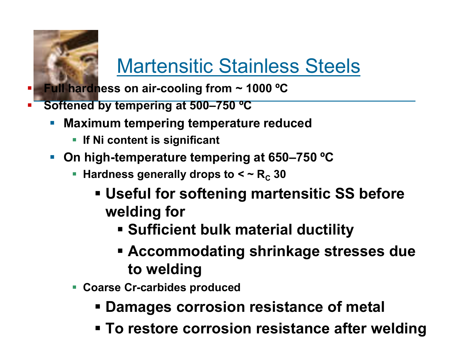

### Martensitic Stainless Steels

- **Full hardness on air-cooling from ~ 1000 °C**
- **Softened by tempering at 500–750 ºC**
	- **Maximum tempering temperature reduced**
		- **If Ni content is significant**
	- **On high-temperature tempering at 650–750 ºC**
		- Hardness generally drops to  $<$   $\sim$   $R_c$  30
			- **Useful for softening martensitic SS before welding for**
				- **Sufficient bulk material ductility**
				- **Accommodating shrinkage stresses due to welding**
		- **Coarse Cr-carbides produced**
			- **Damages corrosion resistance of metal**
			- **To restore corrosion resistance after welding**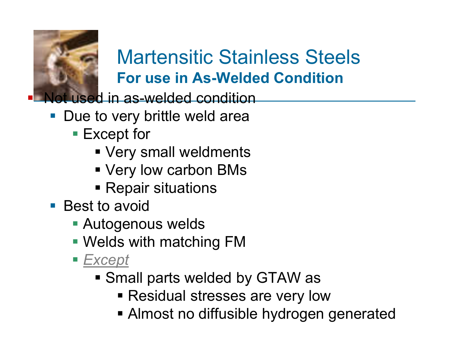

#### Martensitic Stainless Steels **For use in As-Welded Condition**

ot used in as-welded condition

- **Due to very brittle weld area** 
	- Except for
		- Very small weldments
		- Very low carbon BMs
		- **Repair situations**
- Best to avoid
	- **Autogenous welds**
	- Welds with matching FM
	- Except
		- Small parts welded by GTAW as
			- Residual stresses are very low
			- Almost no diffusible hydrogen generated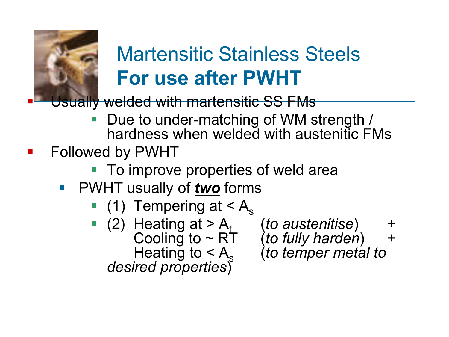

### Martensitic Stainless Steels **For use after PWHT**

Usually welded with martensitic SS FMs

- Due to under-matching of WM strength / hardness when welded with austenitic FMs
- Followed by PWHT
	- To improve properties of weld area
	- PWHT usually of *two* forms
		- $(1)$  Tempering at  $< A_s$
		- $(2)$  Heating at  $>$  A<sub>f</sub> (to austenitise) + Heating to  $\lt A_s$ *desired properties*)

Cooling to ~ RT (*to fully harden*) + (*to temper metal to*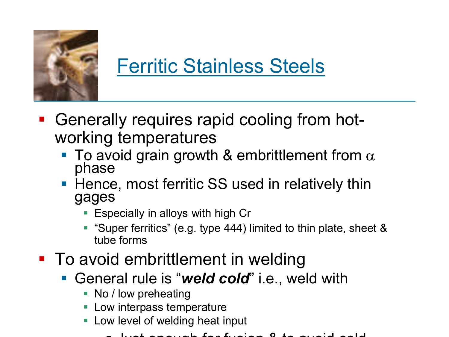

### Ferritic Stainless Steels

- Generally requires rapid cooling from hotworking temperatures
	- To avoid grain growth & embrittlement from  $\alpha$ phase
	- Hence, most ferritic SS used in relatively thin gages
		- **E** Especially in alloys with high Cr
		- "Super ferritics" (e.g. type 444) limited to thin plate, sheet & tube forms
- To avoid embrittlement in welding
	- General rule is "*weld cold*" i.e., weld with
		- No / low preheating
		- Low interpass temperature
		- Low level of welding heat input
			- Just enough for fusion & to avoid cold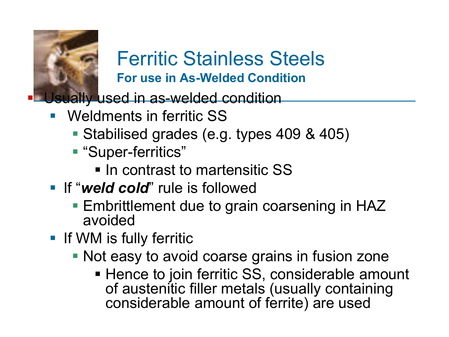

#### Ferritic Stainless Steels **For use in As-Welded Condition**

Usually used in as-welded condition

- Weldments in ferritic SS
	- Stabilised grades (e.g. types 409 & 405)
	- "Super-ferritics"
		- **In contrast to martensitic SS**
- **If "weld cold"** rule is followed
	- Embrittlement due to grain coarsening in HAZ avoided
- **If WM is fully ferritic** 
	- **Not easy to avoid coarse grains in fusion zone** 
		- Hence to join ferritic SS, considerable amount of austenitic filler metals (usually containing considerable amount of ferrite) are used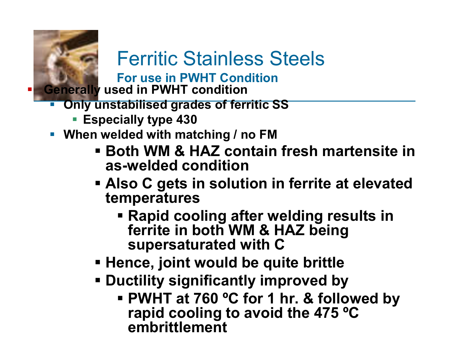

#### Ferritic Stainless Steels

**For use in PWHT Condition**

**Generally used in PWHT condition**

- **Only unstabilised grades of ferritic SS**
	- **Especially type 430**
- **When welded with matching / no FM**
	- **Both WM & HAZ contain fresh martensite in as-welded condition**
	- **Also C gets in solution in ferrite at elevated temperatures**
		- **Rapid cooling after welding results in ferrite in both WM & HAZ being supersaturated with C**
	- **Hence, joint would be quite brittle**
	- **Ductility significantly improved by** 
		- **PWHT at 760 ºC for 1 hr. & followed by rapid cooling to avoid the 475 ºC embrittlement**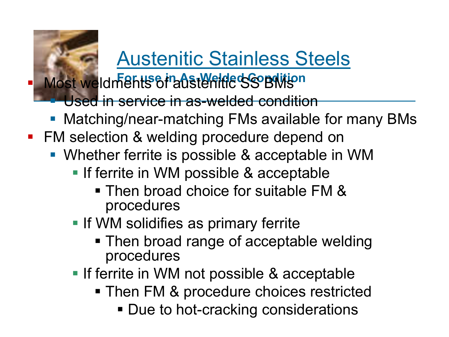### Austenitic Stainless Steels

**Most weldments of adstering condition** 

Used in service in as-welded condition

- **Matching/near-matching FMs available for many BMs**
- **FM selection & welding procedure depend on** 
	- Whether ferrite is possible & acceptable in WM
		- **If ferrite in WM possible & acceptable** 
			- Then broad choice for suitable FM & procedures
		- **If WM solidifies as primary ferrite** 
			- Then broad range of acceptable welding procedures
		- **If ferrite in WM not possible & acceptable** 
			- **Then FM & procedure choices restricted** 
				- **Due to hot-cracking considerations**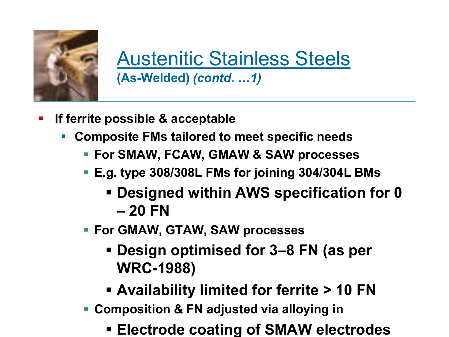

Austenitic Stainless Steels **(As-Welded)** *(contd. …1)*

- **If ferrite possible & acceptable**
	- **Composite FMs tailored to meet specific needs**
		- **For SMAW, FCAW, GMAW & SAW processes**
		- **E.g. type 308/308L FMs for joining 304/304L BMs**
			- **Designed within AWS specification for 0 – 20 FN**
		- **For GMAW, GTAW, SAW processes**
			- **Design optimised for 3–8 FN (as per WRC-1988)**
			- **Availability limited for ferrite > 10 FN**
		- **Composition & FN adjusted via alloying in**
			- **Electrode coating of SMAW electrodes**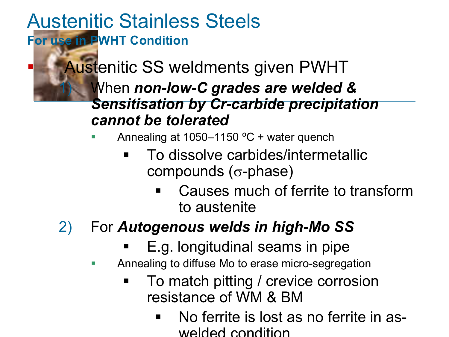Austenitic Stainless Steels **For use in PWHT Condition**

> Austenitic SS weldments given PWHT 1) When *non-low-C grades are welded & Sensitisation by Cr-carbide precipitation cannot be tolerated*

Annealing at 1050–1150 ºC + water quench

- To dissolve carbides/intermetallic compounds ( $\sigma$ -phase)
	- Causes much of ferrite to transform to austenite
- 2) For *Autogenous welds in high-Mo SS*
	- E.g. longitudinal seams in pipe
	- **Annealing to diffuse Mo to erase micro-segregation** 
		- To match pitting / crevice corrosion resistance of WM & BM
			- No ferrite is lost as no ferrite in aswelded condition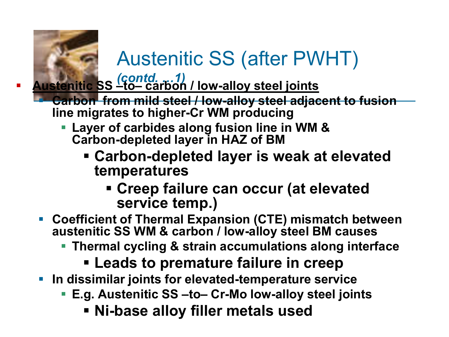

### Austenitic SS (after PWHT)

*(contd. …1)* **Austenitic SS –to– carbon / low-alloy steel joints**

- **Carbon from mild steel / low-alloy steel adjacent to fusion line migrates to higher-Cr WM producing**
	- **Layer of carbides along fusion line in WM & Carbon-depleted layer in HAZ of BM**
		- **Carbon-depleted layer is weak at elevated temperatures**
			- **Creep failure can occur (at elevated service temp.)**
- **Coefficient of Thermal Expansion (CTE) mismatch between austenitic SS WM & carbon / low-alloy steel BM causes**
	- **Thermal cycling & strain accumulations along interface**

#### **Leads to premature failure in creep**

- **In dissimilar joints for elevated-temperature service**
	- **E.g. Austenitic SS –to– Cr-Mo low-alloy steel joints**
		- **Ni-base alloy filler metals used**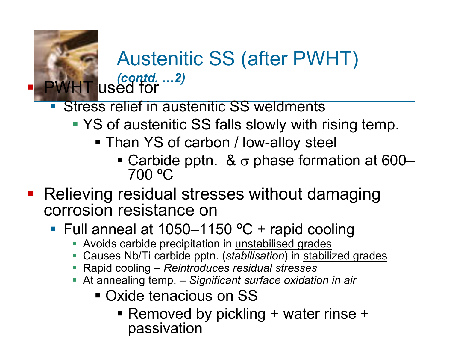#### Austenitic SS (after PWHT) *(contd. …2)* PWHT used for

- **Stress relief in austenitic SS weldments** 
	- YS of austenitic SS falls slowly with rising temp.
		- Than YS of carbon / low-alloy steel
			- Carbide pptn. &  $\sigma$  phase formation at 600– 700 ºC
- **Relieving residual stresses without damaging** corrosion resistance on
	- Full anneal at  $1050-1150$  °C + rapid cooling
		- Avoids carbide precipitation in unstabilised grades
		- Causes Nb/Ti carbide pptn. (*stabilisation*) in stabilized grades
		- Rapid cooling *Reintroduces residual stresses*
		- At annealing temp. *Significant surface oxidation in air*
			- Oxide tenacious on SS
				- Removed by pickling + water rinse + passivation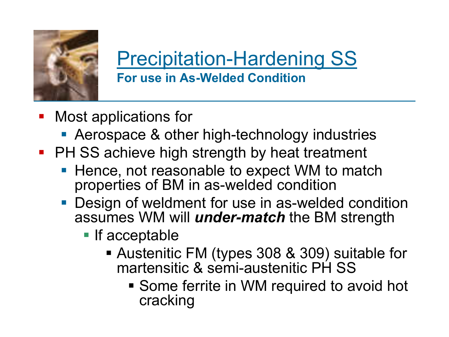

#### Precipitation-Hardening SS **For use in As-Welded Condition**

- Most applications for
	- **Aerospace & other high-technology industries**
- **PH SS achieve high strength by heat treatment** 
	- Hence, not reasonable to expect WM to match properties of BM in as-welded condition
	- **Design of weldment for use in as-welded condition** assumes WM will *under-match* the BM strength
		- **If acceptable** 
			- Austenitic FM (types 308 & 309) suitable for martensitic & semi-austenitic PH SS
				- **Some ferrite in WM required to avoid hot** cracking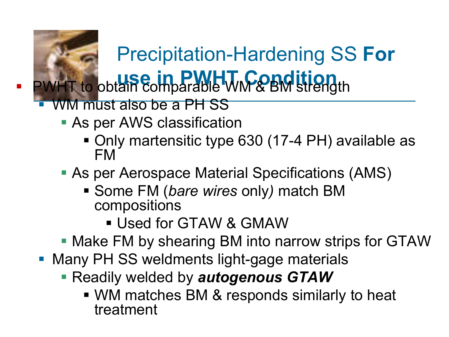# Precipitation-Hardening SS **For**  PWHT to obtain comparable WM & BM strength

- WM must also be a PH SS
	- **As per AWS classification** 
		- Only martensitic type 630 (17-4 PH) available as FM
	- As per Aerospace Material Specifications (AMS)
		- Some FM (*bare wires* only*)* match BM compositions
			- Used for GTAW & GMAW
	- **Make FM by shearing BM into narrow strips for GTAW**
- **Many PH SS weldments light-gage materials** 
	- Readily welded by *autogenous GTAW*
		- WM matches BM & responds similarly to heat treatment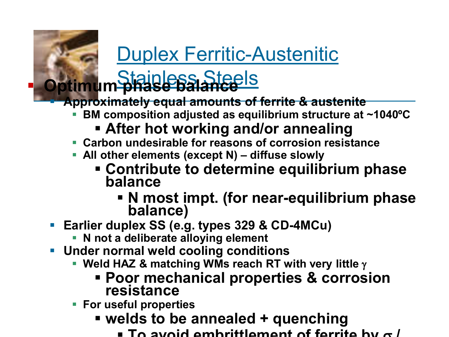### Duplex Ferritic-Austenitic

# Stainless Steels **Optimum phase balance**

**Approximately equal amounts of ferrite & austenite**

**BM composition adjusted as equilibrium structure at ~1040ºC**

#### **After hot working and/or annealing**

- **Carbon undesirable for reasons of corrosion resistance**
- **All other elements (except N) – diffuse slowly**
	- **Contribute to determine equilibrium phase balance**
		- **N most impt. (for near-equilibrium phase balance)**
- **Earlier duplex SS (e.g. types 329 & CD-4MCu)**
	- **N not a deliberate alloying element**
- **Under normal weld cooling conditions**
	- **Weld HAZ & matching WMs reach RT with very little**  $\gamma$ 
		- **Poor mechanical properties & corrosion resistance**
	- **For useful properties**
		- **welds to be annealed + quenching** 
			- $\blacksquare$  To avoid embrittlement of ferrite by  $\sigma$  /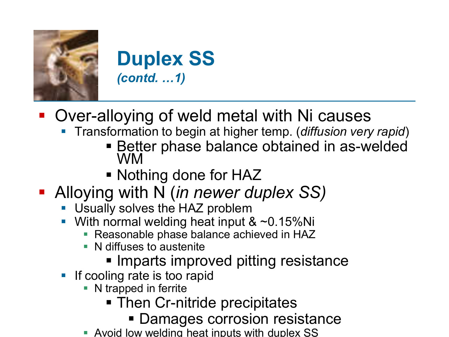

**Duplex SS** *(contd. …1)*

- Over-alloying of weld metal with Ni causes
	- Transformation to begin at higher temp. (*diffusion very rapid*)
		- Better phase balance obtained in as-welded WM
		- Nothing done for HAZ
- Alloying with N (*in newer duplex SS)*
	- **Usually solves the HAZ problem**
	- With normal welding heat input  $\& 20.15\%$ Ni
		- **Reasonable phase balance achieved in HAZ**
		- N diffuses to austenite
			- **Imparts improved pitting resistance**
	- **If cooling rate is too rapid** 
		- N trapped in ferrite
			- **Then Cr-nitride precipitates** 
				- Damages corrosion resistance
		- Avoid low welding heat inputs with duplex SS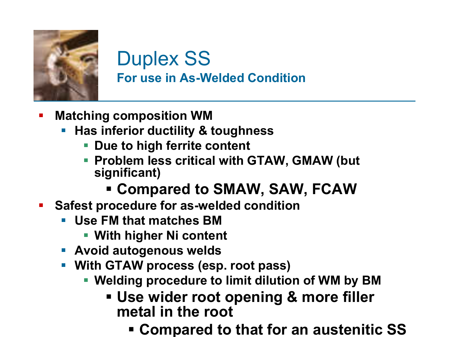

#### Duplex SS **For use in As-Welded Condition**

- **Matching composition WM**
	- **Has inferior ductility & toughness**
		- **Due to high ferrite content**
		- **Problem less critical with GTAW, GMAW (but significant)**

#### **Compared to SMAW, SAW, FCAW**

- **Safest procedure for as-welded condition** 
	- **Use FM that matches BM** 
		- **With higher Ni content**
	- **Avoid autogenous welds**
	- **With GTAW process (esp. root pass)**
		- **Welding procedure to limit dilution of WM by BM**
			- **Use wider root opening & more filler metal in the root** 
				- **Compared to that for an austenitic SS**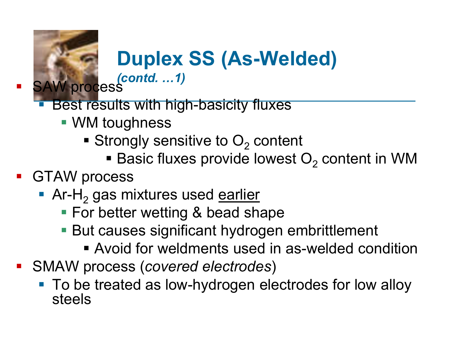### **Duplex SS (As-Welded)**

*(contd. …1)* **SAW process** 

- Best results with high-basicity fluxes
	- WM toughness
		- Strongly sensitive to  $O<sub>2</sub>$  content
			- **Basic fluxes provide lowest O<sub>2</sub> content in WM**

#### **GTAW process**

- Ar-H<sub>2</sub> gas mixtures used earlier
	- **For better wetting & bead shape**
	- But causes significant hydrogen embrittlement
		- Avoid for weldments used in as-welded condition
- SMAW process (*covered electrodes*)
	- To be treated as low-hydrogen electrodes for low alloy steels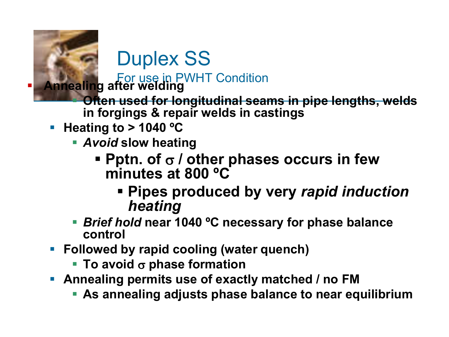

Duplex SS

For use in PWHT Condition **Annealing after welding** 

- **Often used for longitudinal seams in pipe lengths, welds in forgings & repair welds in castings**
- **Heating to > 1040 °C** 
	- *Avoid* **slow heating**
		- **Pptn. of**  $\sigma$  **/ other phases occurs in few minutes at 800 ºC**
			- **Pipes produced by very** *rapid induction heating*
	- *Brief hold* **near 1040 ºC necessary for phase balance control**
- **Followed by rapid cooling (water quench)**
	- **To avoid σ phase formation**
- **Annealing permits use of exactly matched / no FM** 
	- **As annealing adjusts phase balance to near equilibrium**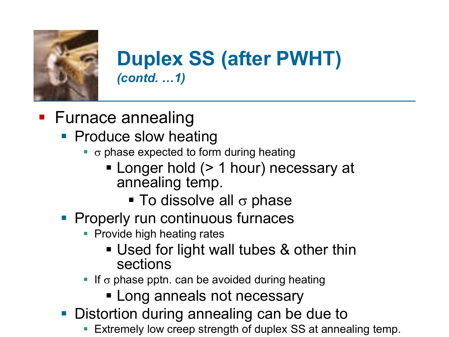

#### **Duplex SS (after PWHT)** *(contd. …1)*

- **Furnace annealing** 
	- **Produce slow heating** 
		- $\bullet$   $\sigma$  phase expected to form during heating
			- **Longer hold (> 1 hour) necessary at** annealing temp.
				- $\blacksquare$  To dissolve all  $\sigma$  phase
	- **Properly run continuous furnaces** 
		- **Provide high heating rates** 
			- Used for light wall tubes & other thin sections
		- If  $\sigma$  phase pptn. can be avoided during heating
			- **Long anneals not necessary**
	- **Distortion during annealing can be due to** 
		- Extremely low creep strength of duplex SS at annealing temp.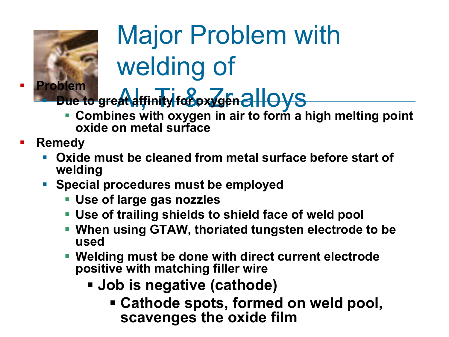

# Major Problem with welding of

**Due to great affinity for oxygen alloys** 

- **Combines with oxygen in air to form a high melting point oxide on metal surface**
- **Remedy**
	- **Oxide must be cleaned from metal surface before start of welding**
	- **Special procedures must be employed** 
		- **Use of large gas nozzles**
		- **Use of trailing shields to shield face of weld pool**
		- **When using GTAW, thoriated tungsten electrode to be used**
		- **Welding must be done with direct current electrode positive with matching filler wire**
			- **Job is negative (cathode)**
				- **Cathode spots, formed on weld pool, scavenges the oxide film**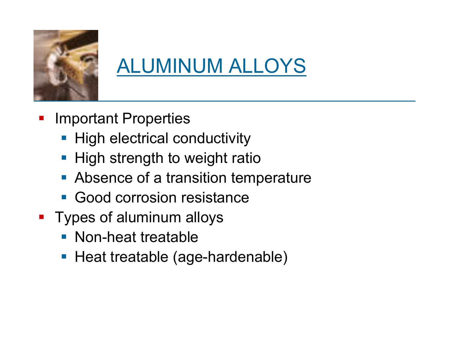

### ALUMINUM ALLOYS

- Important Properties
	- **High electrical conductivity**
	- **High strength to weight ratio**
	- **Absence of a transition temperature**
	- **Good corrosion resistance**
- **Types of aluminum alloys** 
	- **Non-heat treatable**
	- **Heat treatable (age-hardenable)**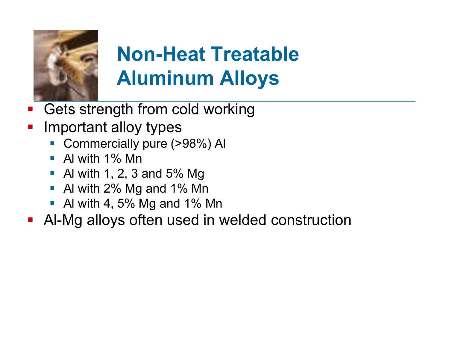

### **Non-Heat Treatable Aluminum Alloys**

- Gets strength from cold working
- Important alloy types
	- Commercially pure (>98%) Al
	- $\blacksquare$  Al with 1% Mn
	- Al with 1, 2, 3 and 5% Mg
	- Al with 2% Mg and 1% Mn
	- Al with 4, 5% Mg and 1% Mn
- **Al-Mg alloys often used in welded construction**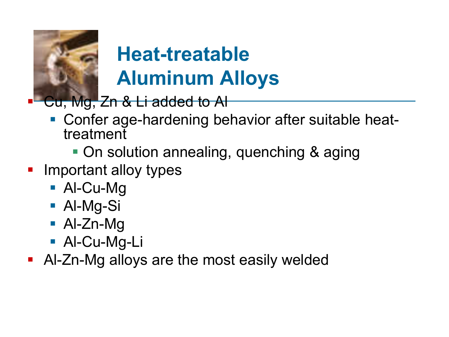

### **Heat-treatable Aluminum Alloys**

Cu, Mg, Zn & Li added to Al

- Confer age-hardening behavior after suitable heattreatment
	- On solution annealing, quenching & aging
- Important alloy types
	- Al-Cu-Mg
	- Al-Mg-Si
	- Al-Zn-Mg
	- Al-Cu-Mg-Li
- Al-Zn-Mg alloys are the most easily welded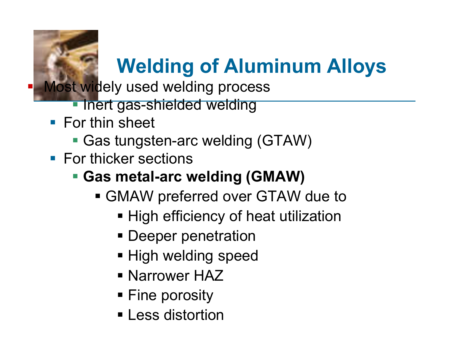# **Welding of Aluminum Alloys**

Most widely used welding process

- Inert gas-shielded welding
- **For thin sheet** 
	- Gas tungsten-arc welding (GTAW)
- **For thicker sections**

#### **Gas metal-arc welding (GMAW)**

- GMAW preferred over GTAW due to
	- **High efficiency of heat utilization**
	- **Deeper penetration**
	- **High welding speed**
	- **Narrower HAZ**
	- **Fine porosity**
	- **ELESS distortion**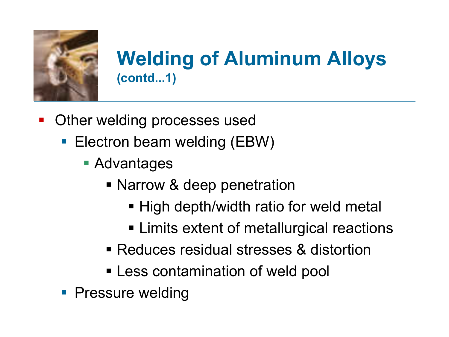

#### **Welding of Aluminum Alloys (contd...1)**

- Other welding processes used
	- Electron beam welding (EBW)
		- Advantages
			- **Narrow & deep penetration** 
				- High depth/width ratio for weld metal
				- **EXTERGHEER** Limits extent of metallurgical reactions
			- Reduces residual stresses & distortion
			- **Less contamination of weld pool**
	- **Pressure welding**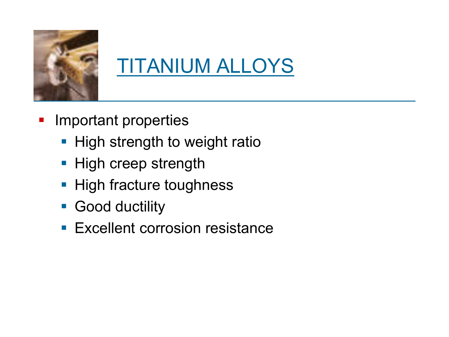

### TITANIUM ALLOYS

- **Important properties** 
	- **High strength to weight ratio**
	- **High creep strength**
	- **High fracture toughness**
	- **Good ductility**
	- **Excellent corrosion resistance**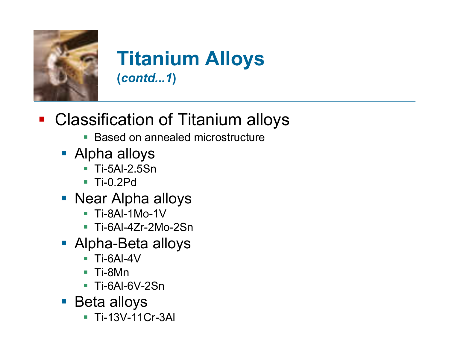

#### **Titanium Alloys (***contd...1***)**

- **Classification of Titanium alloys** 
	- **Based on annealed microstructure**
	- Alpha alloys
		- Ti-5Al-2.5Sn
		- Ti-0.2Pd
	- **Near Alpha alloys** 
		- Ti-8Al-1Mo-1V
		- Ti-6Al-4Zr-2Mo-2Sn
	- Alpha-Beta alloys
		- Ti-6Al-4V
		- Ti-8Mn
		- Ti-6Al-6V-2Sn
	- Beta alloys
		- Ti-13V-11Cr-3Al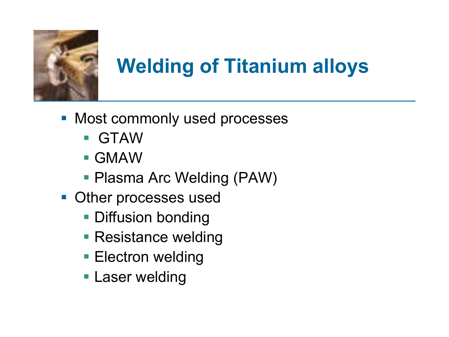

# **Welding of Titanium alloys**

- **Most commonly used processes** 
	- GTAW
	- GMAW
	- Plasma Arc Welding (PAW)
- **Other processes used** 
	- **Diffusion bonding**
	- **Resistance welding**
	- **Electron welding**
	- **Laser welding**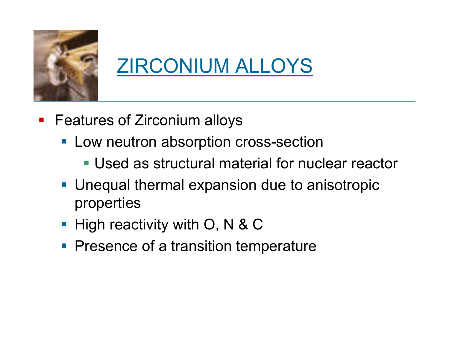

### ZIRCONIUM ALLOYS

- **Features of Zirconium alloys** 
	- **Low neutron absorption cross-section** 
		- Used as structural material for nuclear reactor
	- Unequal thermal expansion due to anisotropic properties
	- $\blacksquare$  High reactivity with O, N & C
	- **Presence of a transition temperature**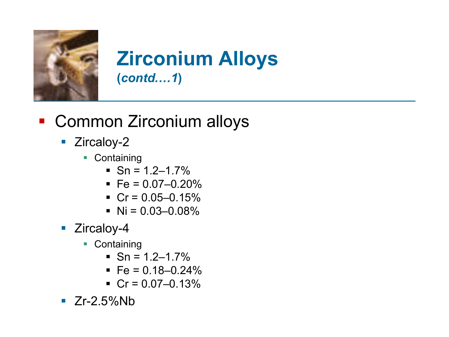

#### **Zirconium Alloys (***contd.…1***)**

#### **- Common Zirconium alloys**

- **Zircaloy-2** 
	- Containing
		- $\blacksquare$  Sn = 1.2–1.7%
		- $\text{Fe} = 0.07 0.20\%$
		- $Cr = 0.05 0.15%$
		- $\blacksquare$  Ni = 0.03–0.08%
- **E** Zircaloy-4
	- Containing
		- $\blacksquare$  Sn = 1.2–1.7%
		- $\text{Fe} = 0.18 0.24\%$
		- $Cr = 0.07 0.13%$
- $\blacksquare$  Zr-2.5%Nb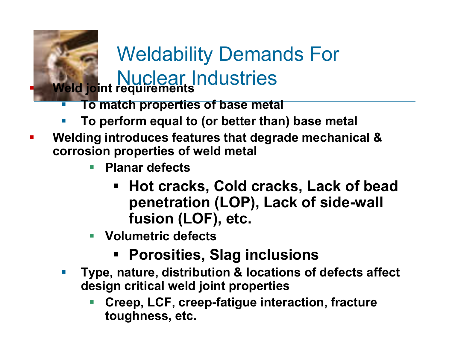

#### Weldability Demands For **Nuclear Industries Weld joint requirements**

- **To match properties of base metal**
- **To perform equal to (or better than) base metal**
- **Welding introduces features that degrade mechanical & corrosion properties of weld metal**
	- **Planar defects**
		- **Hot cracks, Cold cracks, Lack of bead penetration (LOP), Lack of side-wall fusion (LOF), etc.**
	- **Volumetric defects**
		- **Porosities, Slag inclusions**
	- **Type, nature, distribution & locations of defects affect design critical weld joint properties**
		- **Creep, LCF, creep-fatigue interaction, fracture toughness, etc.**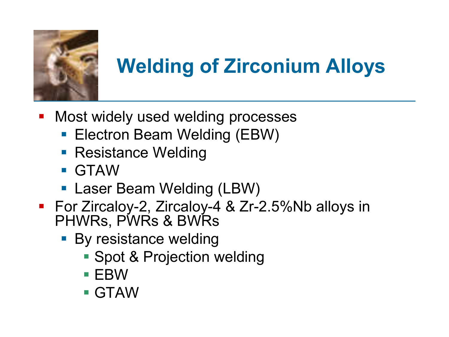

### **Welding of Zirconium Alloys**

- **Most widely used welding processes** 
	- **Electron Beam Welding (EBW)**
	- **Resistance Welding**
	- GTAW
	- **Laser Beam Welding (LBW)**
- For Zircaloy-2, Zircaloy-4 & Zr-2.5%Nb alloys in PHWRs, PWRs & BWRs
	- **By resistance welding** 
		- **Spot & Projection welding**
		- $\blacksquare$  EBW
		- GTAW